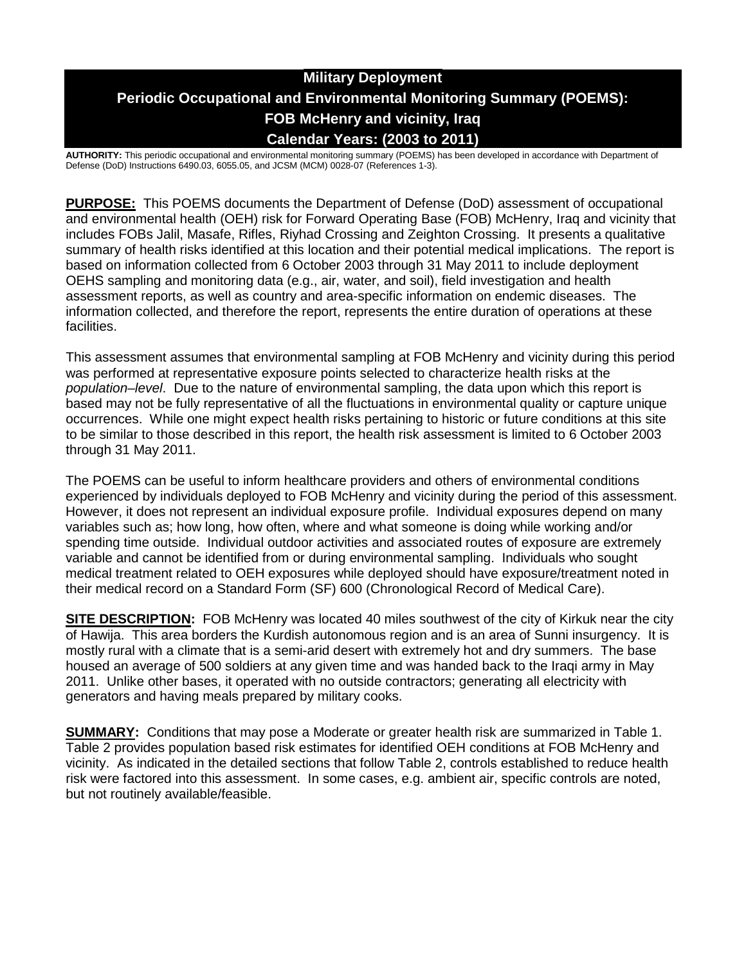# **Military Deployment Periodic Occupational and Environmental Monitoring Summary (POEMS): FOB McHenry and vicinity, Iraq Calendar Years: (2003 to 2011)**

**AUTHORITY:** This periodic occupational and environmental monitoring summary (POEMS) has been developed in accordance with Department of Defense (DoD) Instructions 6490.03, 6055.05, and JCSM (MCM) 0028-07 (References 1-3).

**PURPOSE:** This POEMS documents the Department of Defense (DoD) assessment of occupational and environmental health (OEH) risk for Forward Operating Base (FOB) McHenry, Iraq and vicinity that includes FOBs Jalil, Masafe, Rifles, Riyhad Crossing and Zeighton Crossing. It presents a qualitative summary of health risks identified at this location and their potential medical implications. The report is based on information collected from 6 October 2003 through 31 May 2011 to include deployment OEHS sampling and monitoring data (e.g., air, water, and soil), field investigation and health assessment reports, as well as country and area-specific information on endemic diseases. The information collected, and therefore the report, represents the entire duration of operations at these facilities.

This assessment assumes that environmental sampling at FOB McHenry and vicinity during this period was performed at representative exposure points selected to characterize health risks at the *population–level*. Due to the nature of environmental sampling, the data upon which this report is based may not be fully representative of all the fluctuations in environmental quality or capture unique occurrences. While one might expect health risks pertaining to historic or future conditions at this site to be similar to those described in this report, the health risk assessment is limited to 6 October 2003 through 31 May 2011.

The POEMS can be useful to inform healthcare providers and others of environmental conditions experienced by individuals deployed to FOB McHenry and vicinity during the period of this assessment. However, it does not represent an individual exposure profile. Individual exposures depend on many variables such as; how long, how often, where and what someone is doing while working and/or spending time outside. Individual outdoor activities and associated routes of exposure are extremely variable and cannot be identified from or during environmental sampling. Individuals who sought medical treatment related to OEH exposures while deployed should have exposure/treatment noted in their medical record on a Standard Form (SF) 600 (Chronological Record of Medical Care).

**SITE DESCRIPTION:** FOB McHenry was located 40 miles southwest of the city of Kirkuk near the city of Hawija. This area borders the Kurdish autonomous region and is an area of Sunni insurgency. It is mostly rural with a climate that is a semi-arid desert with extremely hot and dry summers. The base housed an average of 500 soldiers at any given time and was handed back to the Iraqi army in May 2011. Unlike other bases, it operated with no outside contractors; generating all electricity with generators and having meals prepared by military cooks.

**SUMMARY:** Conditions that may pose a Moderate or greater health risk are summarized in Table 1. Table 2 provides population based risk estimates for identified OEH conditions at FOB McHenry and vicinity. As indicated in the detailed sections that follow Table 2, controls established to reduce health risk were factored into this assessment. In some cases, e.g. ambient air, specific controls are noted, but not routinely available/feasible.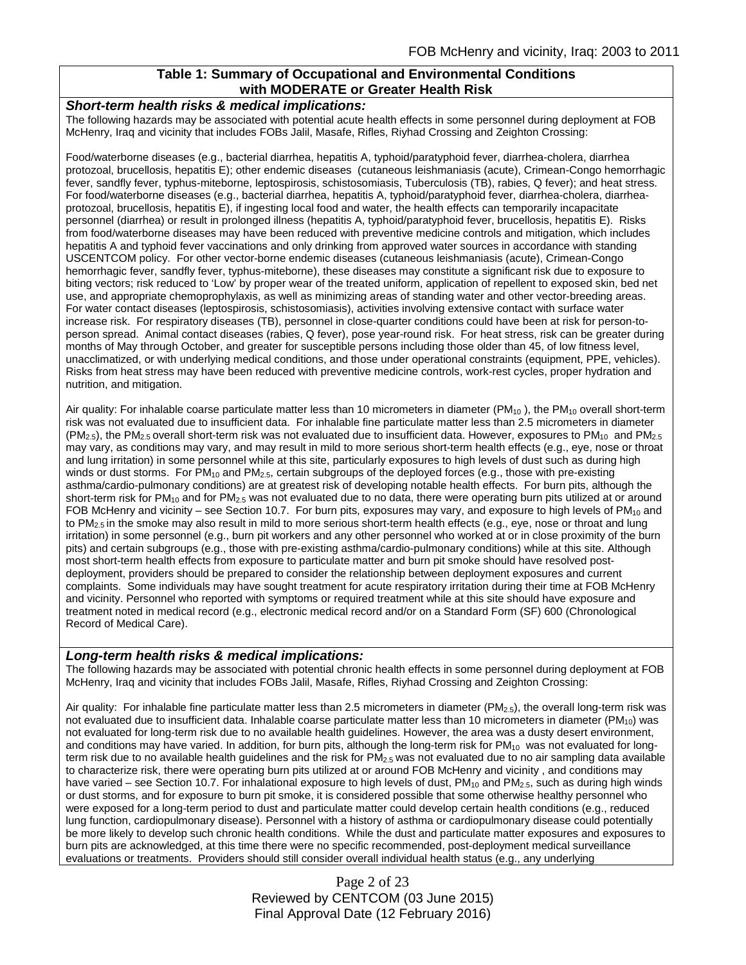## **Table 1: Summary of Occupational and Environmental Conditions with MODERATE or Greater Health Risk**

#### *Short-term health risks & medical implications:*

The following hazards may be associated with potential acute health effects in some personnel during deployment at FOB McHenry, Iraq and vicinity that includes FOBs Jalil, Masafe, Rifles, Riyhad Crossing and Zeighton Crossing:

Food/waterborne diseases (e.g., bacterial diarrhea, hepatitis A, typhoid/paratyphoid fever, diarrhea-cholera, diarrhea protozoal, brucellosis, hepatitis E); other endemic diseases (cutaneous leishmaniasis (acute), Crimean-Congo hemorrhagic fever, sandfly fever, typhus-miteborne, leptospirosis, schistosomiasis, Tuberculosis (TB), rabies, Q fever); and heat stress. For food/waterborne diseases (e.g., bacterial diarrhea, hepatitis A, typhoid/paratyphoid fever, diarrhea-cholera, diarrheaprotozoal, brucellosis, hepatitis E), if ingesting local food and water, the health effects can temporarily incapacitate personnel (diarrhea) or result in prolonged illness (hepatitis A, typhoid/paratyphoid fever, brucellosis, hepatitis E). Risks from food/waterborne diseases may have been reduced with preventive medicine controls and mitigation, which includes hepatitis A and typhoid fever vaccinations and only drinking from approved water sources in accordance with standing USCENTCOM policy. For other vector-borne endemic diseases (cutaneous leishmaniasis (acute), Crimean-Congo hemorrhagic fever, sandfly fever, typhus-miteborne), these diseases may constitute a significant risk due to exposure to biting vectors; risk reduced to 'Low' by proper wear of the treated uniform, application of repellent to exposed skin, bed net use, and appropriate chemoprophylaxis, as well as minimizing areas of standing water and other vector-breeding areas. For water contact diseases (leptospirosis, schistosomiasis), activities involving extensive contact with surface water increase risk. For respiratory diseases (TB), personnel in close-quarter conditions could have been at risk for person-toperson spread. Animal contact diseases (rabies, Q fever), pose year-round risk. For heat stress, risk can be greater during months of May through October, and greater for susceptible persons including those older than 45, of low fitness level, unacclimatized, or with underlying medical conditions, and those under operational constraints (equipment, PPE, vehicles). Risks from heat stress may have been reduced with preventive medicine controls, work-rest cycles, proper hydration and nutrition, and mitigation.

Air quality: For inhalable coarse particulate matter less than 10 micrometers in diameter ( $PM_{10}$ ), the  $PM_{10}$  overall short-term risk was not evaluated due to insufficient data. For inhalable fine particulate matter less than 2.5 micrometers in diameter  $(PM<sub>2.5</sub>)$ , the PM<sub>2.5</sub> overall short-term risk was not evaluated due to insufficient data. However, exposures to PM<sub>10</sub> and PM<sub>2.5</sub> may vary, as conditions may vary, and may result in mild to more serious short-term health effects (e.g., eye, nose or throat and lung irritation) in some personnel while at this site, particularly exposures to high levels of dust such as during high winds or dust storms. For  $PM_{10}$  and  $PM_{2.5}$ , certain subgroups of the deployed forces (e.g., those with pre-existing asthma/cardio-pulmonary conditions) are at greatest risk of developing notable health effects. For burn pits, although the short-term risk for  $PM_{10}$  and for  $PM_{2.5}$  was not evaluated due to no data, there were operating burn pits utilized at or around FOB McHenry and vicinity – see Section 10.7. For burn pits, exposures may vary, and exposure to high levels of  $PM_{10}$  and to PM<sub>2.5</sub> in the smoke may also result in mild to more serious short-term health effects (e.g., eye, nose or throat and lung irritation) in some personnel (e.g., burn pit workers and any other personnel who worked at or in close proximity of the burn pits) and certain subgroups (e.g., those with pre-existing asthma/cardio-pulmonary conditions) while at this site. Although most short-term health effects from exposure to particulate matter and burn pit smoke should have resolved postdeployment, providers should be prepared to consider the relationship between deployment exposures and current complaints. Some individuals may have sought treatment for acute respiratory irritation during their time at FOB McHenry and vicinity. Personnel who reported with symptoms or required treatment while at this site should have exposure and treatment noted in medical record (e.g., electronic medical record and/or on a Standard Form (SF) 600 (Chronological Record of Medical Care).

### *Long-term health risks & medical implications:*

The following hazards may be associated with potential chronic health effects in some personnel during deployment at FOB McHenry, Iraq and vicinity that includes FOBs Jalil, Masafe, Rifles, Riyhad Crossing and Zeighton Crossing:

Air quality: For inhalable fine particulate matter less than 2.5 micrometers in diameter (PM<sub>2.5</sub>), the overall long-term risk was not evaluated due to insufficient data. Inhalable coarse particulate matter less than 10 micrometers in diameter  $(PM_{10})$  was not evaluated for long-term risk due to no available health guidelines. However, the area was a dusty desert environment, and conditions may have varied. In addition, for burn pits, although the long-term risk for  $PM_{10}$  was not evaluated for longterm risk due to no available health guidelines and the risk for  $PM_{2.5}$  was not evaluated due to no air sampling data available to characterize risk, there were operating burn pits utilized at or around FOB McHenry and vicinity , and conditions may have varied – see Section 10.7. For inhalational exposure to high levels of dust,  $PM_{10}$  and  $PM_{2.5}$ , such as during high winds or dust storms, and for exposure to burn pit smoke, it is considered possible that some otherwise healthy personnel who were exposed for a long-term period to dust and particulate matter could develop certain health conditions (e.g., reduced lung function, cardiopulmonary disease). Personnel with a history of asthma or cardiopulmonary disease could potentially be more likely to develop such chronic health conditions. While the dust and particulate matter exposures and exposures to burn pits are acknowledged, at this time there were no specific recommended, post-deployment medical surveillance evaluations or treatments. Providers should still consider overall individual health status (e.g., any underlying

> Page 2 of 23 Reviewed by CENTCOM (03 June 2015) Final Approval Date (12 February 2016)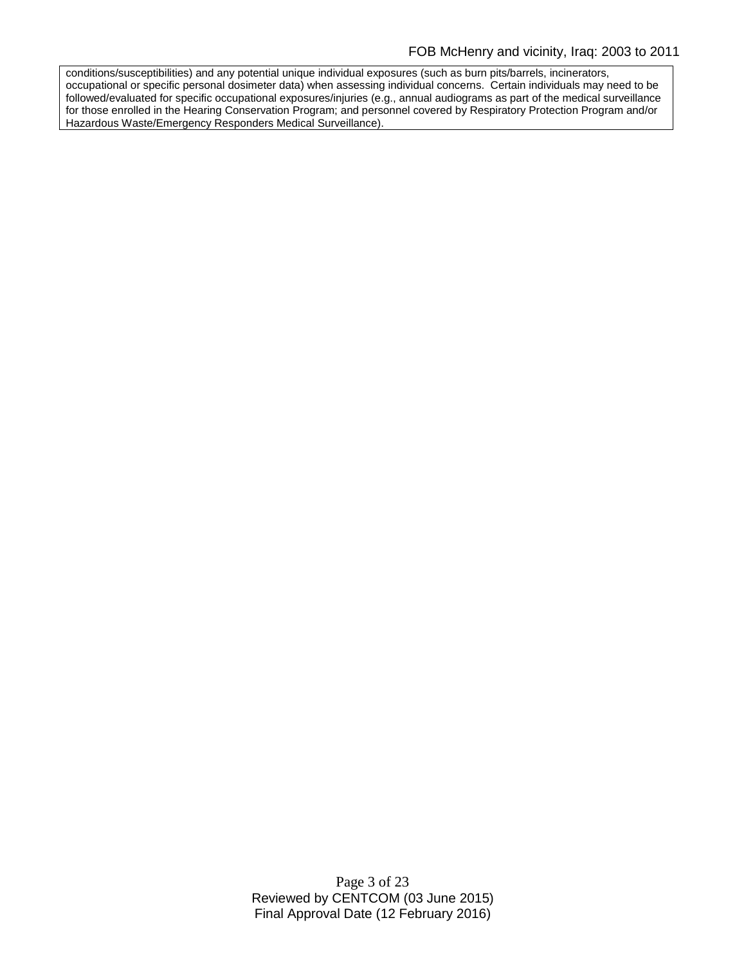conditions/susceptibilities) and any potential unique individual exposures (such as burn pits/barrels, incinerators, occupational or specific personal dosimeter data) when assessing individual concerns. Certain individuals may need to be followed/evaluated for specific occupational exposures/injuries (e.g., annual audiograms as part of the medical surveillance for those enrolled in the Hearing Conservation Program; and personnel covered by Respiratory Protection Program and/or Hazardous Waste/Emergency Responders Medical Surveillance).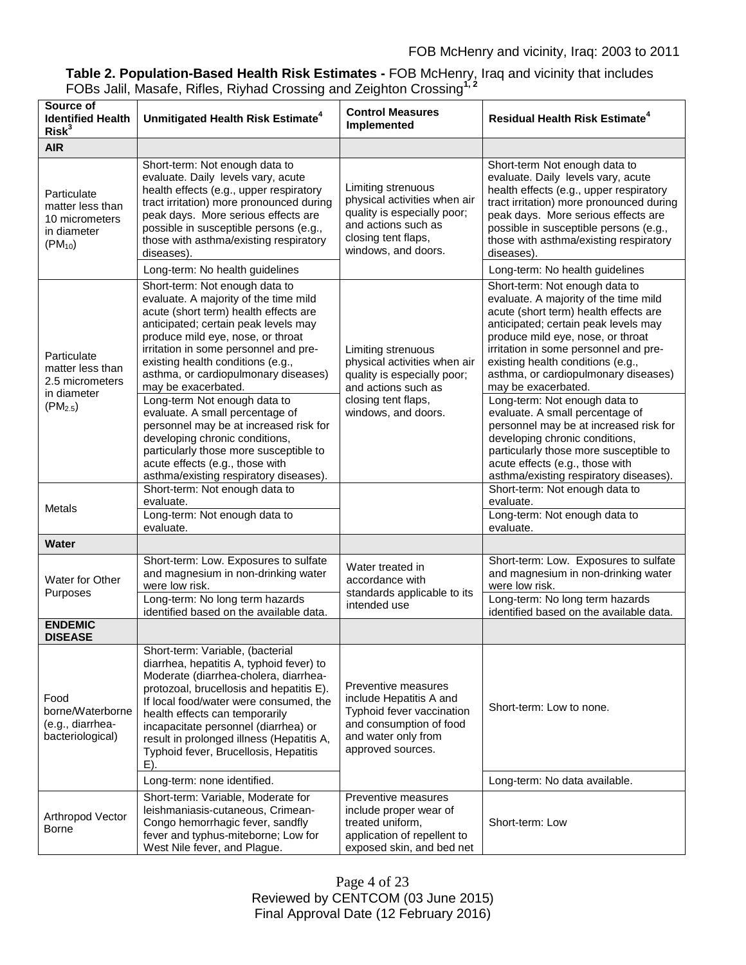# **Table 2. Population-Based Health Risk Estimates -** FOB McHenry, Iraq and vicinity that includes FOBs Jalil, Masafe, Rifles, Riyhad Crossing and Zeighton Crossing**1, 2**

| Source of<br><b>Identified Health</b><br>Risk <sup>3</sup>                                         | Unmitigated Health Risk Estimate <sup>4</sup>                                                                                                                                                                                                                                                                                                                                                                                                                                                                                                                                                                                                                   | <b>Control Measures</b><br>Implemented                                                                                                                 | <b>Residual Health Risk Estimate<sup>4</sup></b>                                                                                                                                                                                                                                                                                                                                                                                                                                                                                                                                                                                                                 |
|----------------------------------------------------------------------------------------------------|-----------------------------------------------------------------------------------------------------------------------------------------------------------------------------------------------------------------------------------------------------------------------------------------------------------------------------------------------------------------------------------------------------------------------------------------------------------------------------------------------------------------------------------------------------------------------------------------------------------------------------------------------------------------|--------------------------------------------------------------------------------------------------------------------------------------------------------|------------------------------------------------------------------------------------------------------------------------------------------------------------------------------------------------------------------------------------------------------------------------------------------------------------------------------------------------------------------------------------------------------------------------------------------------------------------------------------------------------------------------------------------------------------------------------------------------------------------------------------------------------------------|
| <b>AIR</b>                                                                                         |                                                                                                                                                                                                                                                                                                                                                                                                                                                                                                                                                                                                                                                                 |                                                                                                                                                        |                                                                                                                                                                                                                                                                                                                                                                                                                                                                                                                                                                                                                                                                  |
| Particulate<br>matter less than<br>10 micrometers<br>in diameter<br>$(PM_{10})$                    | Short-term: Not enough data to<br>evaluate. Daily levels vary, acute<br>health effects (e.g., upper respiratory<br>tract irritation) more pronounced during<br>peak days. More serious effects are<br>possible in susceptible persons (e.g.,<br>those with asthma/existing respiratory<br>diseases).                                                                                                                                                                                                                                                                                                                                                            | Limiting strenuous<br>physical activities when air<br>quality is especially poor;<br>and actions such as<br>closing tent flaps,<br>windows, and doors. | Short-term Not enough data to<br>evaluate. Daily levels vary, acute<br>health effects (e.g., upper respiratory<br>tract irritation) more pronounced during<br>peak days. More serious effects are<br>possible in susceptible persons (e.g.,<br>those with asthma/existing respiratory<br>diseases).                                                                                                                                                                                                                                                                                                                                                              |
|                                                                                                    | Long-term: No health guidelines                                                                                                                                                                                                                                                                                                                                                                                                                                                                                                                                                                                                                                 |                                                                                                                                                        | Long-term: No health guidelines                                                                                                                                                                                                                                                                                                                                                                                                                                                                                                                                                                                                                                  |
| Particulate<br>matter less than<br>2.5 micrometers<br>in diameter<br>$(PM_{2.5})$<br><b>Metals</b> | Short-term: Not enough data to<br>evaluate. A majority of the time mild<br>acute (short term) health effects are<br>anticipated; certain peak levels may<br>produce mild eye, nose, or throat<br>irritation in some personnel and pre-<br>existing health conditions (e.g.,<br>asthma, or cardiopulmonary diseases)<br>may be exacerbated.<br>Long-term Not enough data to<br>evaluate. A small percentage of<br>personnel may be at increased risk for<br>developing chronic conditions,<br>particularly those more susceptible to<br>acute effects (e.g., those with<br>asthma/existing respiratory diseases).<br>Short-term: Not enough data to<br>evaluate. | Limiting strenuous<br>physical activities when air<br>quality is especially poor;<br>and actions such as<br>closing tent flaps,<br>windows, and doors. | Short-term: Not enough data to<br>evaluate. A majority of the time mild<br>acute (short term) health effects are<br>anticipated; certain peak levels may<br>produce mild eye, nose, or throat<br>irritation in some personnel and pre-<br>existing health conditions (e.g.,<br>asthma, or cardiopulmonary diseases)<br>may be exacerbated.<br>Long-term: Not enough data to<br>evaluate. A small percentage of<br>personnel may be at increased risk for<br>developing chronic conditions,<br>particularly those more susceptible to<br>acute effects (e.g., those with<br>asthma/existing respiratory diseases).<br>Short-term: Not enough data to<br>evaluate. |
|                                                                                                    | Long-term: Not enough data to<br>evaluate.                                                                                                                                                                                                                                                                                                                                                                                                                                                                                                                                                                                                                      |                                                                                                                                                        | Long-term: Not enough data to<br>evaluate.                                                                                                                                                                                                                                                                                                                                                                                                                                                                                                                                                                                                                       |
| <b>Water</b>                                                                                       |                                                                                                                                                                                                                                                                                                                                                                                                                                                                                                                                                                                                                                                                 |                                                                                                                                                        |                                                                                                                                                                                                                                                                                                                                                                                                                                                                                                                                                                                                                                                                  |
| Water for Other<br>Purposes                                                                        | Short-term: Low. Exposures to sulfate<br>and magnesium in non-drinking water<br>were low risk.<br>Long-term: No long term hazards<br>identified based on the available data.                                                                                                                                                                                                                                                                                                                                                                                                                                                                                    | Water treated in<br>accordance with<br>standards applicable to its<br>intended use                                                                     | Short-term: Low. Exposures to sulfate<br>and magnesium in non-drinking water<br>were low risk.<br>Long-term: No long term hazards<br>identified based on the available data.                                                                                                                                                                                                                                                                                                                                                                                                                                                                                     |
| <b>ENDEMIC</b><br><b>DISEASE</b>                                                                   |                                                                                                                                                                                                                                                                                                                                                                                                                                                                                                                                                                                                                                                                 |                                                                                                                                                        |                                                                                                                                                                                                                                                                                                                                                                                                                                                                                                                                                                                                                                                                  |
| Food<br>borne/Waterborne<br>(e.g., diarrhea-<br>bacteriological)                                   | Short-term: Variable, (bacterial<br>diarrhea, hepatitis A, typhoid fever) to<br>Moderate (diarrhea-cholera, diarrhea-<br>protozoal, brucellosis and hepatitis E).<br>If local food/water were consumed, the<br>health effects can temporarily<br>incapacitate personnel (diarrhea) or<br>result in prolonged illness (Hepatitis A,<br>Typhoid fever, Brucellosis, Hepatitis<br>$E$ ).                                                                                                                                                                                                                                                                           | Preventive measures<br>include Hepatitis A and<br>Typhoid fever vaccination<br>and consumption of food<br>and water only from<br>approved sources.     | Short-term: Low to none.                                                                                                                                                                                                                                                                                                                                                                                                                                                                                                                                                                                                                                         |
|                                                                                                    | Long-term: none identified.                                                                                                                                                                                                                                                                                                                                                                                                                                                                                                                                                                                                                                     |                                                                                                                                                        | Long-term: No data available.                                                                                                                                                                                                                                                                                                                                                                                                                                                                                                                                                                                                                                    |
| Arthropod Vector<br>Borne                                                                          | Short-term: Variable, Moderate for<br>leishmaniasis-cutaneous, Crimean-<br>Congo hemorrhagic fever, sandfly<br>fever and typhus-miteborne; Low for<br>West Nile fever, and Plague.                                                                                                                                                                                                                                                                                                                                                                                                                                                                              | Preventive measures<br>include proper wear of<br>treated uniform,<br>application of repellent to<br>exposed skin, and bed net                          | Short-term: Low                                                                                                                                                                                                                                                                                                                                                                                                                                                                                                                                                                                                                                                  |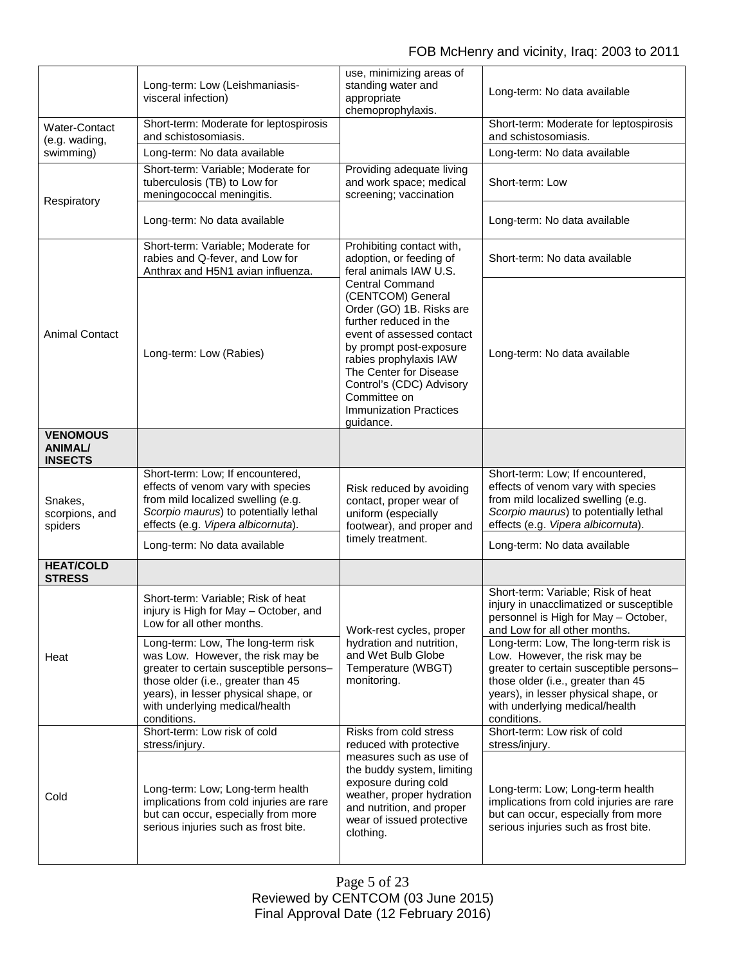|                                                     | Long-term: Low (Leishmaniasis-<br>visceral infection)                                                                                                                                                                                             | use, minimizing areas of<br>standing water and<br>appropriate<br>chemoprophylaxis.                                                                                                                                                                                                                      | Long-term: No data available                                                                                                                                                                                                                     |
|-----------------------------------------------------|---------------------------------------------------------------------------------------------------------------------------------------------------------------------------------------------------------------------------------------------------|---------------------------------------------------------------------------------------------------------------------------------------------------------------------------------------------------------------------------------------------------------------------------------------------------------|--------------------------------------------------------------------------------------------------------------------------------------------------------------------------------------------------------------------------------------------------|
| <b>Water-Contact</b><br>(e.g. wading,<br>swimming)  | Short-term: Moderate for leptospirosis<br>and schistosomiasis.                                                                                                                                                                                    |                                                                                                                                                                                                                                                                                                         | Short-term: Moderate for leptospirosis<br>and schistosomiasis.                                                                                                                                                                                   |
|                                                     | Long-term: No data available                                                                                                                                                                                                                      |                                                                                                                                                                                                                                                                                                         | Long-term: No data available                                                                                                                                                                                                                     |
| Respiratory                                         | Short-term: Variable; Moderate for<br>tuberculosis (TB) to Low for<br>meningococcal meningitis.                                                                                                                                                   | Providing adequate living<br>and work space; medical<br>screening; vaccination                                                                                                                                                                                                                          | Short-term: Low                                                                                                                                                                                                                                  |
|                                                     | Long-term: No data available                                                                                                                                                                                                                      |                                                                                                                                                                                                                                                                                                         | Long-term: No data available                                                                                                                                                                                                                     |
| <b>Animal Contact</b>                               | Short-term: Variable; Moderate for<br>rabies and Q-fever, and Low for<br>Anthrax and H5N1 avian influenza.                                                                                                                                        | Prohibiting contact with,<br>adoption, or feeding of<br>feral animals IAW U.S.                                                                                                                                                                                                                          | Short-term: No data available                                                                                                                                                                                                                    |
|                                                     | Long-term: Low (Rabies)                                                                                                                                                                                                                           | <b>Central Command</b><br>(CENTCOM) General<br>Order (GO) 1B. Risks are<br>further reduced in the<br>event of assessed contact<br>by prompt post-exposure<br>rabies prophylaxis IAW<br>The Center for Disease<br>Control's (CDC) Advisory<br>Committee on<br><b>Immunization Practices</b><br>guidance. | Long-term: No data available                                                                                                                                                                                                                     |
| <b>VENOMOUS</b><br><b>ANIMAL/</b><br><b>INSECTS</b> |                                                                                                                                                                                                                                                   |                                                                                                                                                                                                                                                                                                         |                                                                                                                                                                                                                                                  |
| Snakes,<br>scorpions, and<br>spiders                | Short-term: Low; If encountered,<br>effects of venom vary with species<br>from mild localized swelling (e.g.<br>Scorpio maurus) to potentially lethal<br>effects (e.g. Vipera albicornuta).                                                       | Risk reduced by avoiding<br>contact, proper wear of<br>uniform (especially<br>footwear), and proper and<br>timely treatment.                                                                                                                                                                            | Short-term: Low; If encountered,<br>effects of venom vary with species<br>from mild localized swelling (e.g.<br>Scorpio maurus) to potentially lethal<br>effects (e.g. Vipera albicornuta).                                                      |
| <b>HEAT/COLD</b>                                    | Long-term: No data available                                                                                                                                                                                                                      |                                                                                                                                                                                                                                                                                                         | Long-term: No data available                                                                                                                                                                                                                     |
| <b>STRESS</b>                                       |                                                                                                                                                                                                                                                   |                                                                                                                                                                                                                                                                                                         |                                                                                                                                                                                                                                                  |
| Heat                                                | Short-term: Variable; Risk of heat<br>injury is High for May - October, and<br>Low for all other months.                                                                                                                                          | Work-rest cycles, proper<br>hydration and nutrition,<br>and Wet Bulb Globe<br>Temperature (WBGT)<br>monitoring.                                                                                                                                                                                         | Short-term: Variable; Risk of heat<br>injury in unacclimatized or susceptible<br>personnel is High for May - October,<br>and Low for all other months.                                                                                           |
|                                                     | Long-term: Low, The long-term risk<br>was Low. However, the risk may be<br>greater to certain susceptible persons-<br>those older (i.e., greater than 45<br>years), in lesser physical shape, or<br>with underlying medical/health<br>conditions. |                                                                                                                                                                                                                                                                                                         | Long-term: Low, The long-term risk is<br>Low. However, the risk may be<br>greater to certain susceptible persons-<br>those older (i.e., greater than 45<br>years), in lesser physical shape, or<br>with underlying medical/health<br>conditions. |
| Cold                                                | Short-term: Low risk of cold<br>stress/injury.                                                                                                                                                                                                    | Risks from cold stress<br>reduced with protective<br>measures such as use of<br>the buddy system, limiting<br>exposure during cold<br>weather, proper hydration<br>and nutrition, and proper<br>wear of issued protective<br>clothing.                                                                  | Short-term: Low risk of cold<br>stress/injury.                                                                                                                                                                                                   |
|                                                     | Long-term: Low; Long-term health<br>implications from cold injuries are rare<br>but can occur, especially from more<br>serious injuries such as frost bite.                                                                                       |                                                                                                                                                                                                                                                                                                         | Long-term: Low; Long-term health<br>implications from cold injuries are rare<br>but can occur, especially from more<br>serious injuries such as frost bite.                                                                                      |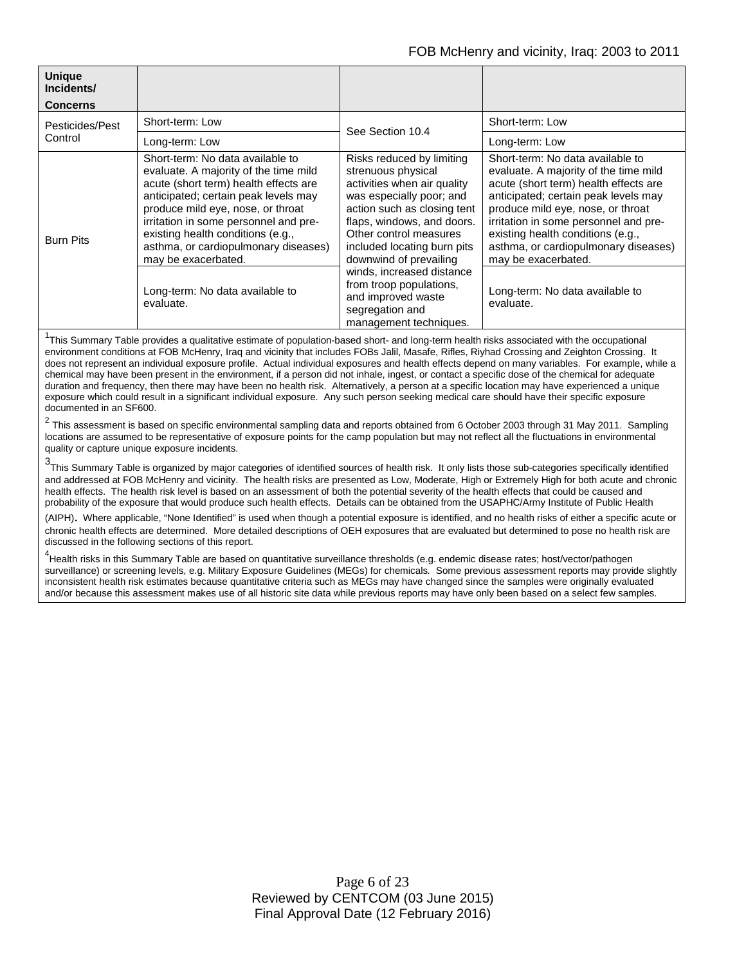| <b>Unique</b><br>Incidents/<br>Concerns |                                                                                                                                                                                                                                                                                                                                              |                                                                                                                                                                                                                                                                                                                                                                                       |                                                                                                                                                                                                                                                                                                                                              |
|-----------------------------------------|----------------------------------------------------------------------------------------------------------------------------------------------------------------------------------------------------------------------------------------------------------------------------------------------------------------------------------------------|---------------------------------------------------------------------------------------------------------------------------------------------------------------------------------------------------------------------------------------------------------------------------------------------------------------------------------------------------------------------------------------|----------------------------------------------------------------------------------------------------------------------------------------------------------------------------------------------------------------------------------------------------------------------------------------------------------------------------------------------|
| Pesticides/Pest<br>Control              | Short-term: Low                                                                                                                                                                                                                                                                                                                              | See Section 10.4                                                                                                                                                                                                                                                                                                                                                                      | Short-term: Low                                                                                                                                                                                                                                                                                                                              |
|                                         | Long-term: Low                                                                                                                                                                                                                                                                                                                               |                                                                                                                                                                                                                                                                                                                                                                                       | Long-term: Low                                                                                                                                                                                                                                                                                                                               |
| <b>Burn Pits</b>                        | Short-term: No data available to<br>evaluate. A majority of the time mild<br>acute (short term) health effects are<br>anticipated; certain peak levels may<br>produce mild eye, nose, or throat<br>irritation in some personnel and pre-<br>existing health conditions (e.g.,<br>asthma, or cardiopulmonary diseases)<br>may be exacerbated. | Risks reduced by limiting<br>strenuous physical<br>activities when air quality<br>was especially poor; and<br>action such as closing tent<br>flaps, windows, and doors.<br>Other control measures<br>included locating burn pits<br>downwind of prevailing<br>winds, increased distance<br>from troop populations,<br>and improved waste<br>segregation and<br>management techniques. | Short-term: No data available to<br>evaluate. A majority of the time mild<br>acute (short term) health effects are<br>anticipated; certain peak levels may<br>produce mild eye, nose, or throat<br>irritation in some personnel and pre-<br>existing health conditions (e.g.,<br>asthma, or cardiopulmonary diseases)<br>may be exacerbated. |
|                                         | Long-term: No data available to<br>evaluate.                                                                                                                                                                                                                                                                                                 |                                                                                                                                                                                                                                                                                                                                                                                       | Long-term: No data available to<br>evaluate.                                                                                                                                                                                                                                                                                                 |

<sup>1</sup>This Summary Table provides a qualitative estimate of population-based short- and long-term health risks associated with the occupational environment conditions at FOB McHenry, Iraq and vicinity that includes FOBs Jalil, Masafe, Rifles, Riyhad Crossing and Zeighton Crossing. It does not represent an individual exposure profile. Actual individual exposures and health effects depend on many variables. For example, while a chemical may have been present in the environment, if a person did not inhale, ingest, or contact a specific dose of the chemical for adequate duration and frequency, then there may have been no health risk. Alternatively, a person at a specific location may have experienced a unique exposure which could result in a significant individual exposure. Any such person seeking medical care should have their specific exposure documented in an SF600.

 $^2$  This assessment is based on specific environmental sampling data and reports obtained from 6 October 2003 through 31 May 2011. Sampling locations are assumed to be representative of exposure points for the camp population but may not reflect all the fluctuations in environmental quality or capture unique exposure incidents.

3 This Summary Table is organized by major categories of identified sources of health risk. It only lists those sub-categories specifically identified and addressed at FOB McHenry and vicinity. The health risks are presented as Low, Moderate, High or Extremely High for both acute and chronic health effects. The health risk level is based on an assessment of both the potential severity of the health effects that could be caused and probability of the exposure that would produce such health effects. Details can be obtained from the USAPHC/Army Institute of Public Health

(AIPH). Where applicable, "None Identified" is used when though a potential exposure is identified, and no health risks of either a specific acute or chronic health effects are determined. More detailed descriptions of OEH exposures that are evaluated but determined to pose no health risk are discussed in the following sections of this report.

<sup>4</sup><br>Health risks in this Summary Table are based on quantitative surveillance thresholds (e.g. endemic disease rates; host/vector/pathogen surveillance) or screening levels, e.g. Military Exposure Guidelines (MEGs) for chemicals*.* Some previous assessment reports may provide slightly inconsistent health risk estimates because quantitative criteria such as MEGs may have changed since the samples were originally evaluated and/or because this assessment makes use of all historic site data while previous reports may have only been based on a select few samples.

> Page 6 of 23 Reviewed by CENTCOM (03 June 2015) Final Approval Date (12 February 2016)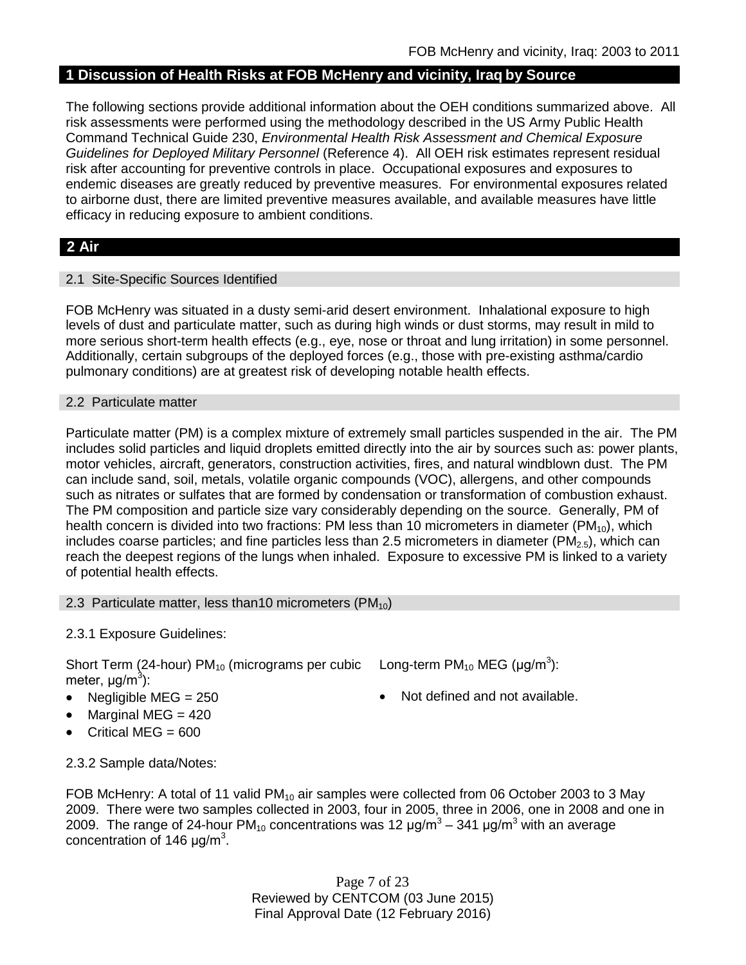# **1 Discussion of Health Risks at FOB McHenry and vicinity, Iraq by Source**

The following sections provide additional information about the OEH conditions summarized above. All risk assessments were performed using the methodology described in the US Army Public Health Command Technical Guide 230, *Environmental Health Risk Assessment and Chemical Exposure Guidelines for Deployed Military Personnel* (Reference 4). All OEH risk estimates represent residual risk after accounting for preventive controls in place. Occupational exposures and exposures to endemic diseases are greatly reduced by preventive measures. For environmental exposures related to airborne dust, there are limited preventive measures available, and available measures have little efficacy in reducing exposure to ambient conditions.

# **2 Air**

## 2.1 Site-Specific Sources Identified

FOB McHenry was situated in a dusty semi-arid desert environment. Inhalational exposure to high levels of dust and particulate matter, such as during high winds or dust storms, may result in mild to more serious short-term health effects (e.g., eye, nose or throat and lung irritation) in some personnel. Additionally, certain subgroups of the deployed forces (e.g., those with pre-existing asthma/cardio pulmonary conditions) are at greatest risk of developing notable health effects.

### 2.2 Particulate matter

Particulate matter (PM) is a complex mixture of extremely small particles suspended in the air. The PM includes solid particles and liquid droplets emitted directly into the air by sources such as: power plants, motor vehicles, aircraft, generators, construction activities, fires, and natural windblown dust. The PM can include sand, soil, metals, volatile organic compounds (VOC), allergens, and other compounds such as nitrates or sulfates that are formed by condensation or transformation of combustion exhaust. The PM composition and particle size vary considerably depending on the source. Generally, PM of health concern is divided into two fractions: PM less than 10 micrometers in diameter (PM<sub>10</sub>), which includes coarse particles; and fine particles less than 2.5 micrometers in diameter ( $PM_{2.5}$ ), which can reach the deepest regions of the lungs when inhaled. Exposure to excessive PM is linked to a variety of potential health effects.

## 2.3 Particulate matter, less than10 micrometers  $(PM_{10})$

2.3.1 Exposure Guidelines:

Short Term (24-hour) PM<sub>10</sub> (micrograms per cubic Long-term PM<sub>10</sub> MEG (µg/m<sup>3</sup>): meter, μg/m<sup>3</sup>):

- 
- Marginal MEG = 420
- Critical MEG = 600
- 
- Negligible MEG = 250 Not defined and not available.

2.3.2 Sample data/Notes:

FOB McHenry: A total of 11 valid  $PM_{10}$  air samples were collected from 06 October 2003 to 3 May 2009. There were two samples collected in 2003, four in 2005, three in 2006, one in 2008 and one in 2009. The range of 24-hour PM<sub>10</sub> concentrations was 12  $\mu$ g/m<sup>3</sup> – 341  $\mu$ g/m<sup>3</sup> with an average concentration of 146  $\mu$ g/m<sup>3</sup>.

> Page 7 of 23 Reviewed by CENTCOM (03 June 2015) Final Approval Date (12 February 2016)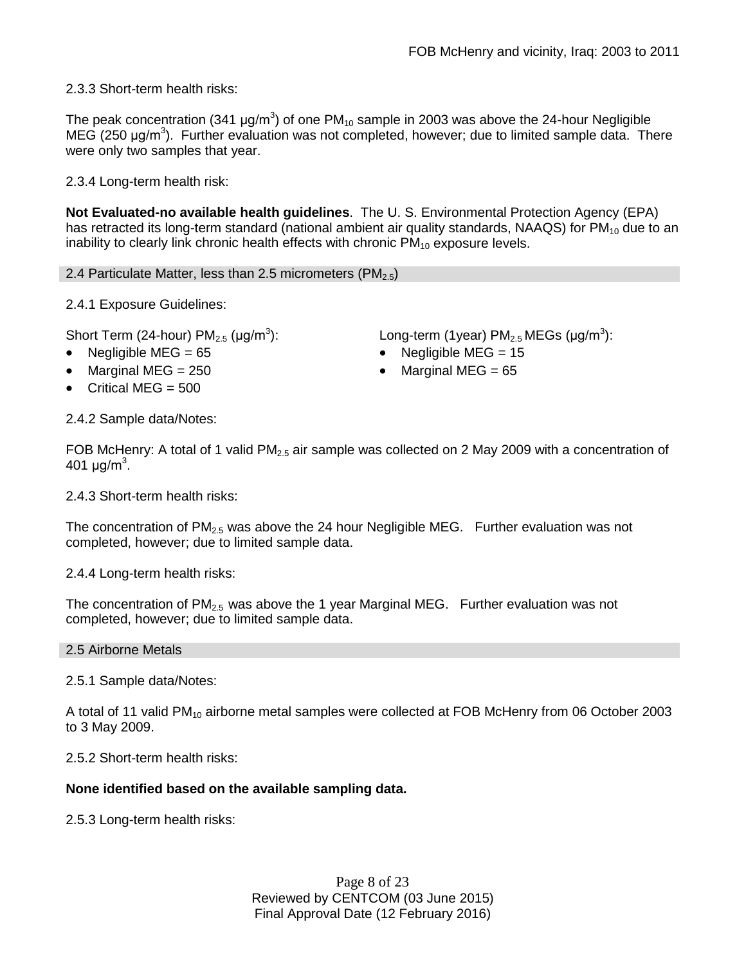2.3.3 Short-term health risks:

The peak concentration (341  $\mu$ g/m<sup>3</sup>) of one PM<sub>10</sub> sample in 2003 was above the 24-hour Negligible MEG (250 μg/m<sup>3</sup>). Further evaluation was not completed, however; due to limited sample data. There were only two samples that year.

2.3.4 Long-term health risk:

**Not Evaluated-no available health guidelines**. The U. S. Environmental Protection Agency (EPA) has retracted its long-term standard (national ambient air quality standards, NAAQS) for  $PM_{10}$  due to an inability to clearly link chronic health effects with chronic  $PM_{10}$  exposure levels.

2.4 Particulate Matter, less than 2.5 micrometers (PM $_{2.5}$ )

2.4.1 Exposure Guidelines:

Short Term (24-hour)  $PM<sub>2.5</sub>$  ( $\mu$ g/m<sup>3</sup>):

- 
- Marginal MEG = 250 Marginal MEG = 65
- Critical MEG  $= 500$

):  $\qquad \qquad \textsf{Long-term (1year) PM}_{2.5} \, \textsf{MEGs (}\mu\textsf{g/m}^3\textsf{)}\textsf{:}$ 

- Negligible MEG = 65 Negligible MEG = 15
	-

2.4.2 Sample data/Notes:

FOB McHenry: A total of 1 valid PM<sub>2.5</sub> air sample was collected on 2 May 2009 with a concentration of 401 μg/m<sup>3</sup>.

2.4.3 Short-term health risks:

The concentration of  $PM<sub>2.5</sub>$  was above the 24 hour Negligible MEG. Further evaluation was not completed, however; due to limited sample data.

2.4.4 Long-term health risks:

The concentration of  $PM_{2.5}$  was above the 1 year Marginal MEG. Further evaluation was not completed, however; due to limited sample data.

### 2.5 Airborne Metals

2.5.1 Sample data/Notes:

A total of 11 valid PM<sub>10</sub> airborne metal samples were collected at FOB McHenry from 06 October 2003 to 3 May 2009.

2.5.2 Short-term health risks:

## **None identified based on the available sampling data.**

2.5.3 Long-term health risks:

Page 8 of 23 Reviewed by CENTCOM (03 June 2015) Final Approval Date (12 February 2016)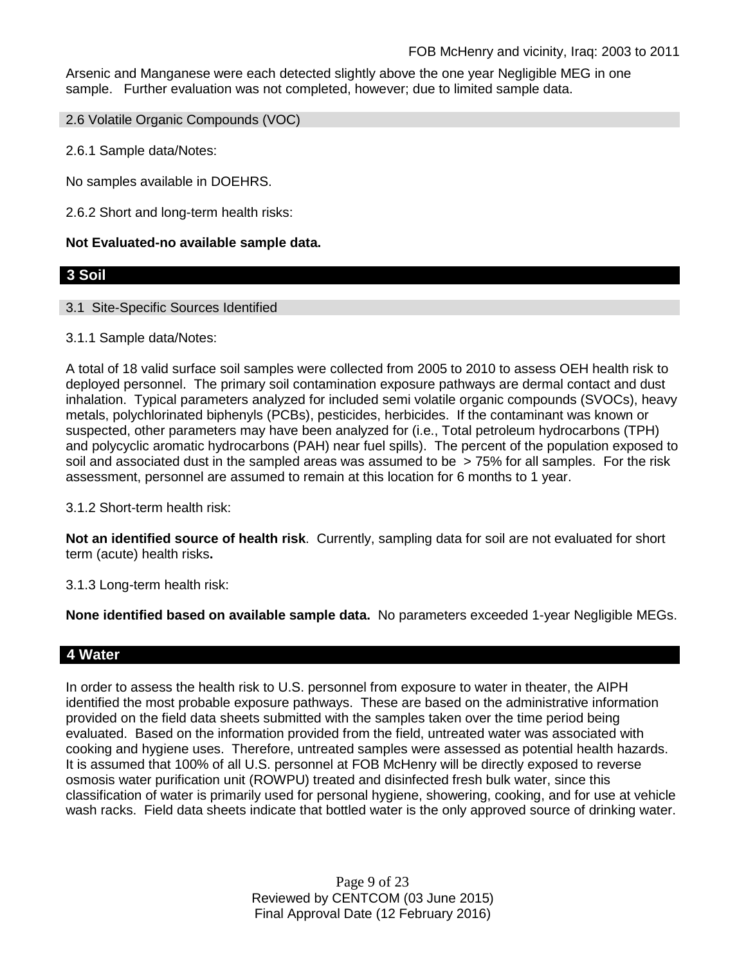Arsenic and Manganese were each detected slightly above the one year Negligible MEG in one sample. Further evaluation was not completed, however; due to limited sample data.

2.6 Volatile Organic Compounds (VOC)

2.6.1 Sample data/Notes:

No samples available in DOEHRS.

2.6.2 Short and long-term health risks:

### **Not Evaluated-no available sample data.**

# **3 Soil**

### 3.1 Site-Specific Sources Identified

### 3.1.1 Sample data/Notes:

A total of 18 valid surface soil samples were collected from 2005 to 2010 to assess OEH health risk to deployed personnel. The primary soil contamination exposure pathways are dermal contact and dust inhalation. Typical parameters analyzed for included semi volatile organic compounds (SVOCs), heavy metals, polychlorinated biphenyls (PCBs), pesticides, herbicides. If the contaminant was known or suspected, other parameters may have been analyzed for (i.e., Total petroleum hydrocarbons (TPH) and polycyclic aromatic hydrocarbons (PAH) near fuel spills). The percent of the population exposed to soil and associated dust in the sampled areas was assumed to be > 75% for all samples. For the risk assessment, personnel are assumed to remain at this location for 6 months to 1 year.

3.1.2 Short-term health risk:

**Not an identified source of health risk**. Currently, sampling data for soil are not evaluated for short term (acute) health risks**.**

3.1.3 Long-term health risk:

**None identified based on available sample data.** No parameters exceeded 1-year Negligible MEGs.

## **4 Water**

In order to assess the health risk to U.S. personnel from exposure to water in theater, the AIPH identified the most probable exposure pathways. These are based on the administrative information provided on the field data sheets submitted with the samples taken over the time period being evaluated. Based on the information provided from the field, untreated water was associated with cooking and hygiene uses. Therefore, untreated samples were assessed as potential health hazards. It is assumed that 100% of all U.S. personnel at FOB McHenry will be directly exposed to reverse osmosis water purification unit (ROWPU) treated and disinfected fresh bulk water, since this classification of water is primarily used for personal hygiene, showering, cooking, and for use at vehicle wash racks. Field data sheets indicate that bottled water is the only approved source of drinking water.

> Page 9 of 23 Reviewed by CENTCOM (03 June 2015) Final Approval Date (12 February 2016)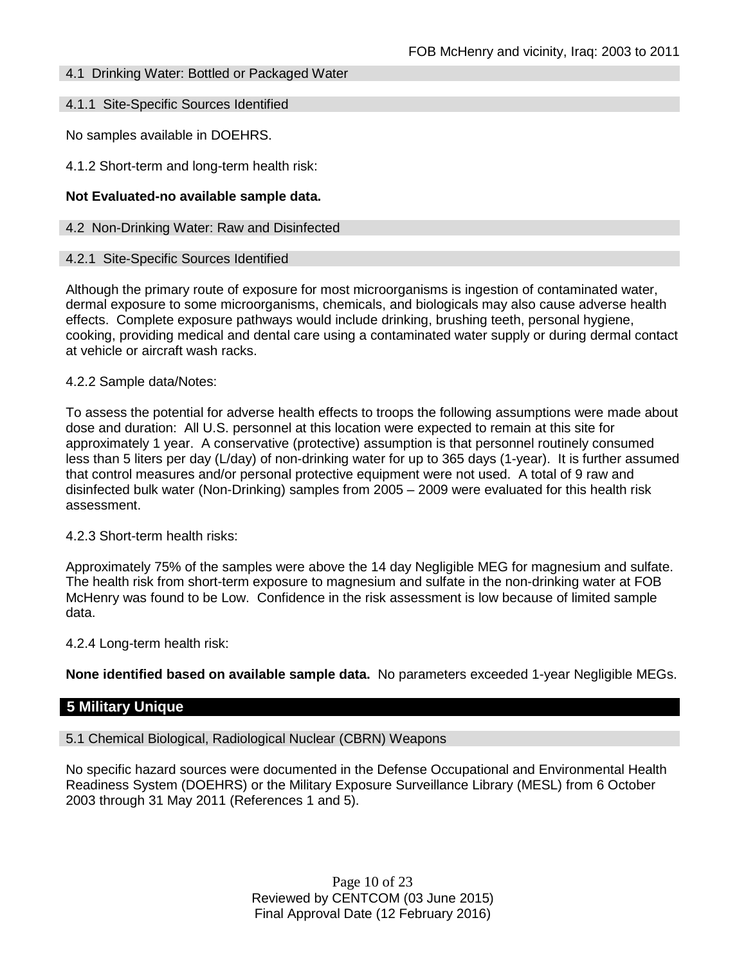### 4.1 Drinking Water: Bottled or Packaged Water

### 4.1.1 Site-Specific Sources Identified

No samples available in DOEHRS.

4.1.2 Short-term and long-term health risk:

### **Not Evaluated-no available sample data.**

#### 4.2 Non-Drinking Water: Raw and Disinfected

#### 4.2.1 Site-Specific Sources Identified

Although the primary route of exposure for most microorganisms is ingestion of contaminated water, dermal exposure to some microorganisms, chemicals, and biologicals may also cause adverse health effects. Complete exposure pathways would include drinking, brushing teeth, personal hygiene, cooking, providing medical and dental care using a contaminated water supply or during dermal contact at vehicle or aircraft wash racks.

#### 4.2.2 Sample data/Notes:

To assess the potential for adverse health effects to troops the following assumptions were made about dose and duration: All U.S. personnel at this location were expected to remain at this site for approximately 1 year. A conservative (protective) assumption is that personnel routinely consumed less than 5 liters per day (L/day) of non-drinking water for up to 365 days (1-year). It is further assumed that control measures and/or personal protective equipment were not used. A total of 9 raw and disinfected bulk water (Non-Drinking) samples from 2005 – 2009 were evaluated for this health risk assessment.

### 4.2.3 Short-term health risks:

Approximately 75% of the samples were above the 14 day Negligible MEG for magnesium and sulfate. The health risk from short-term exposure to magnesium and sulfate in the non-drinking water at FOB McHenry was found to be Low. Confidence in the risk assessment is low because of limited sample data.

4.2.4 Long-term health risk:

**None identified based on available sample data.** No parameters exceeded 1-year Negligible MEGs.

### **5 Military Unique**

#### 5.1 Chemical Biological, Radiological Nuclear (CBRN) Weapons

No specific hazard sources were documented in the Defense Occupational and Environmental Health Readiness System (DOEHRS) or the Military Exposure Surveillance Library (MESL) from 6 October 2003 through 31 May 2011 (References 1 and 5).

> Page 10 of 23 Reviewed by CENTCOM (03 June 2015) Final Approval Date (12 February 2016)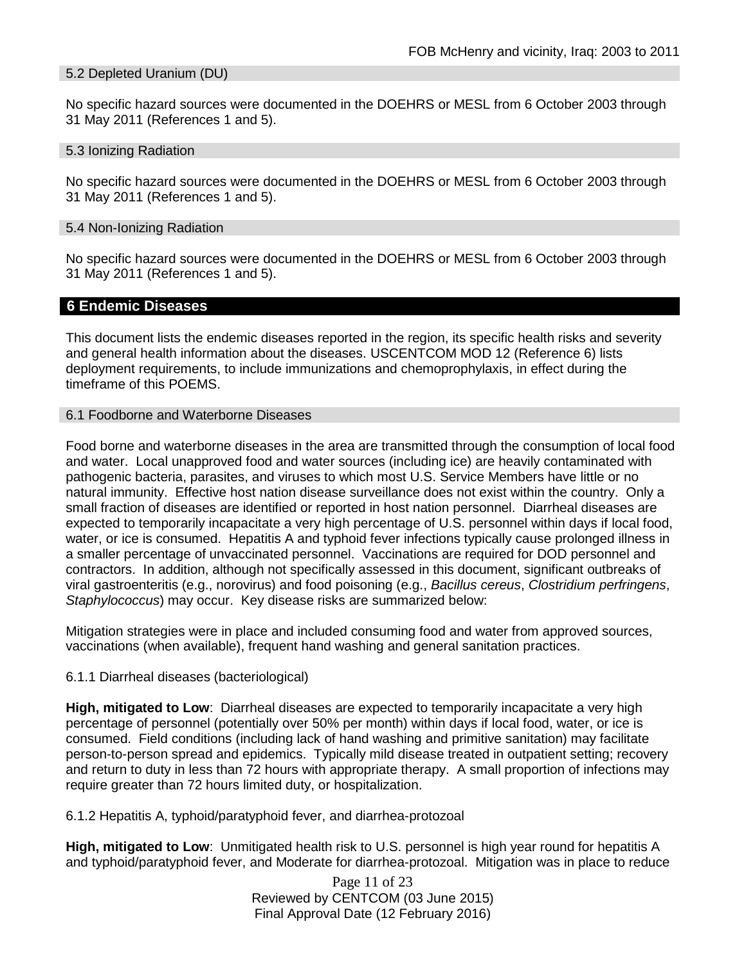### 5.2 Depleted Uranium (DU)

No specific hazard sources were documented in the DOEHRS or MESL from 6 October 2003 through 31 May 2011 (References 1 and 5).

#### 5.3 Ionizing Radiation

No specific hazard sources were documented in the DOEHRS or MESL from 6 October 2003 through 31 May 2011 (References 1 and 5).

#### 5.4 Non-Ionizing Radiation

No specific hazard sources were documented in the DOEHRS or MESL from 6 October 2003 through 31 May 2011 (References 1 and 5).

### **6 Endemic Diseases**

This document lists the endemic diseases reported in the region, its specific health risks and severity and general health information about the diseases. USCENTCOM MOD 12 (Reference 6) lists deployment requirements, to include immunizations and chemoprophylaxis, in effect during the timeframe of this POEMS.

### 6.1 Foodborne and Waterborne Diseases

Food borne and waterborne diseases in the area are transmitted through the consumption of local food and water. Local unapproved food and water sources (including ice) are heavily contaminated with pathogenic bacteria, parasites, and viruses to which most U.S. Service Members have little or no natural immunity. Effective host nation disease surveillance does not exist within the country. Only a small fraction of diseases are identified or reported in host nation personnel. Diarrheal diseases are expected to temporarily incapacitate a very high percentage of U.S. personnel within days if local food, water, or ice is consumed. Hepatitis A and typhoid fever infections typically cause prolonged illness in a smaller percentage of unvaccinated personnel. Vaccinations are required for DOD personnel and contractors. In addition, although not specifically assessed in this document, significant outbreaks of viral gastroenteritis (e.g., norovirus) and food poisoning (e.g., *Bacillus cereus*, *Clostridium perfringens*, *Staphylococcus*) may occur. Key disease risks are summarized below:

Mitigation strategies were in place and included consuming food and water from approved sources, vaccinations (when available), frequent hand washing and general sanitation practices.

### 6.1.1 Diarrheal diseases (bacteriological)

**High, mitigated to Low**: Diarrheal diseases are expected to temporarily incapacitate a very high percentage of personnel (potentially over 50% per month) within days if local food, water, or ice is consumed. Field conditions (including lack of hand washing and primitive sanitation) may facilitate person-to-person spread and epidemics. Typically mild disease treated in outpatient setting; recovery and return to duty in less than 72 hours with appropriate therapy. A small proportion of infections may require greater than 72 hours limited duty, or hospitalization.

6.1.2 Hepatitis A, typhoid/paratyphoid fever, and diarrhea-protozoal

**High, mitigated to Low**: Unmitigated health risk to U.S. personnel is high year round for hepatitis A and typhoid/paratyphoid fever, and Moderate for diarrhea-protozoal. Mitigation was in place to reduce

> Page 11 of 23 Reviewed by CENTCOM (03 June 2015) Final Approval Date (12 February 2016)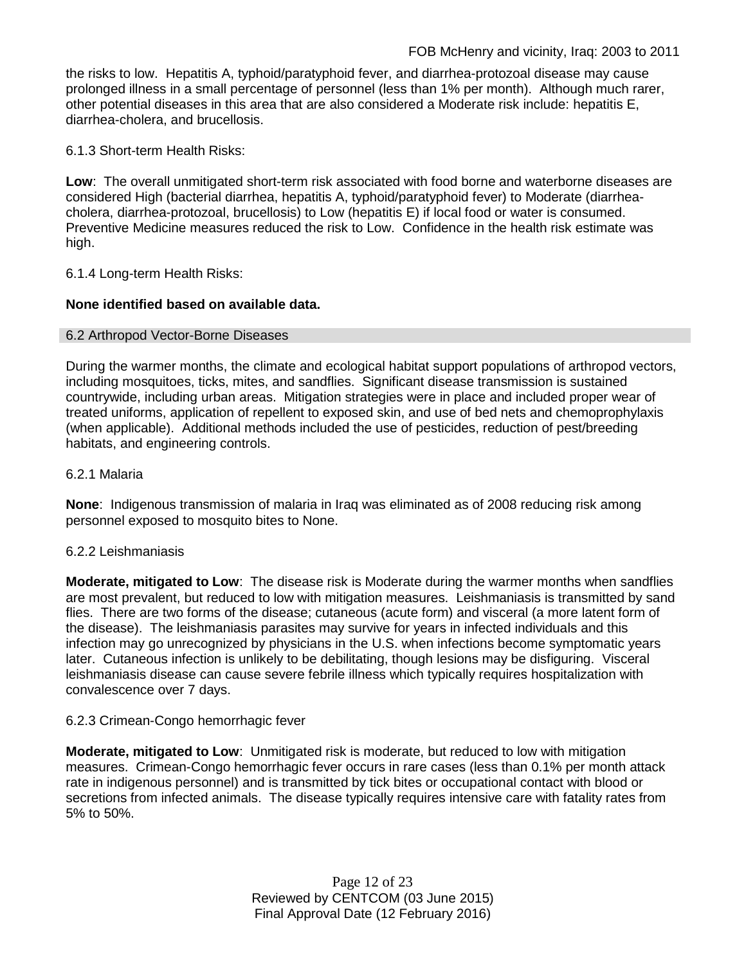the risks to low. Hepatitis A, typhoid/paratyphoid fever, and diarrhea-protozoal disease may cause prolonged illness in a small percentage of personnel (less than 1% per month). Although much rarer, other potential diseases in this area that are also considered a Moderate risk include: hepatitis E, diarrhea-cholera, and brucellosis.

6.1.3 Short-term Health Risks:

**Low**: The overall unmitigated short-term risk associated with food borne and waterborne diseases are considered High (bacterial diarrhea, hepatitis A, typhoid/paratyphoid fever) to Moderate (diarrheacholera, diarrhea-protozoal, brucellosis) to Low (hepatitis E) if local food or water is consumed. Preventive Medicine measures reduced the risk to Low. Confidence in the health risk estimate was high.

6.1.4 Long-term Health Risks:

### **None identified based on available data.**

### 6.2 Arthropod Vector-Borne Diseases

During the warmer months, the climate and ecological habitat support populations of arthropod vectors, including mosquitoes, ticks, mites, and sandflies. Significant disease transmission is sustained countrywide, including urban areas. Mitigation strategies were in place and included proper wear of treated uniforms, application of repellent to exposed skin, and use of bed nets and chemoprophylaxis (when applicable). Additional methods included the use of pesticides, reduction of pest/breeding habitats, and engineering controls.

### 6.2.1 Malaria

**None**: Indigenous transmission of malaria in Iraq was eliminated as of 2008 reducing risk among personnel exposed to mosquito bites to None.

### 6.2.2 Leishmaniasis

**Moderate, mitigated to Low**: The disease risk is Moderate during the warmer months when sandflies are most prevalent, but reduced to low with mitigation measures. Leishmaniasis is transmitted by sand flies. There are two forms of the disease; cutaneous (acute form) and visceral (a more latent form of the disease). The leishmaniasis parasites may survive for years in infected individuals and this infection may go unrecognized by physicians in the U.S. when infections become symptomatic years later. Cutaneous infection is unlikely to be debilitating, though lesions may be disfiguring. Visceral leishmaniasis disease can cause severe febrile illness which typically requires hospitalization with convalescence over 7 days.

### 6.2.3 Crimean-Congo hemorrhagic fever

**Moderate, mitigated to Low**: Unmitigated risk is moderate, but reduced to low with mitigation measures. Crimean-Congo hemorrhagic fever occurs in rare cases (less than 0.1% per month attack rate in indigenous personnel) and is transmitted by tick bites or occupational contact with blood or secretions from infected animals. The disease typically requires intensive care with fatality rates from 5% to 50%.

> Page 12 of 23 Reviewed by CENTCOM (03 June 2015) Final Approval Date (12 February 2016)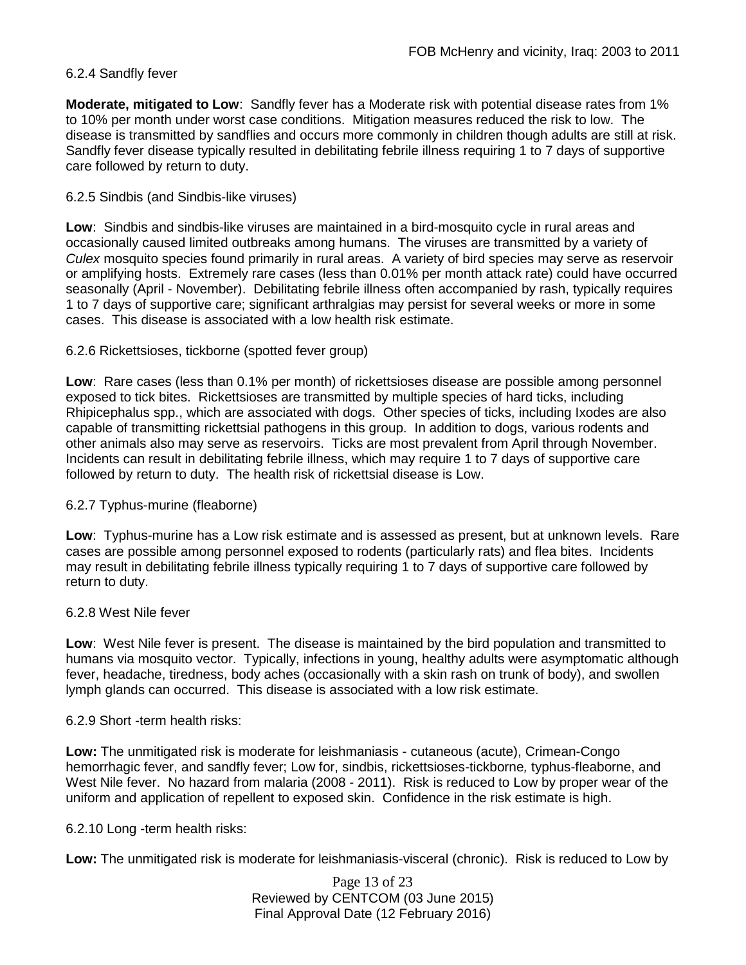## 6.2.4 Sandfly fever

**Moderate, mitigated to Low**: Sandfly fever has a Moderate risk with potential disease rates from 1% to 10% per month under worst case conditions. Mitigation measures reduced the risk to low. The disease is transmitted by sandflies and occurs more commonly in children though adults are still at risk. Sandfly fever disease typically resulted in debilitating febrile illness requiring 1 to 7 days of supportive care followed by return to duty.

## 6.2.5 Sindbis (and Sindbis-like viruses)

**Low**: Sindbis and sindbis-like viruses are maintained in a bird-mosquito cycle in rural areas and occasionally caused limited outbreaks among humans. The viruses are transmitted by a variety of *Culex* mosquito species found primarily in rural areas. A variety of bird species may serve as reservoir or amplifying hosts. Extremely rare cases (less than 0.01% per month attack rate) could have occurred seasonally (April - November). Debilitating febrile illness often accompanied by rash, typically requires 1 to 7 days of supportive care; significant arthralgias may persist for several weeks or more in some cases. This disease is associated with a low health risk estimate.

## 6.2.6 Rickettsioses, tickborne (spotted fever group)

**Low**: Rare cases (less than 0.1% per month) of rickettsioses disease are possible among personnel exposed to tick bites. Rickettsioses are transmitted by multiple species of hard ticks, including Rhipicephalus spp., which are associated with dogs. Other species of ticks, including Ixodes are also capable of transmitting rickettsial pathogens in this group. In addition to dogs, various rodents and other animals also may serve as reservoirs. Ticks are most prevalent from April through November. Incidents can result in debilitating febrile illness, which may require 1 to 7 days of supportive care followed by return to duty. The health risk of rickettsial disease is Low.

## 6.2.7 Typhus-murine (fleaborne)

**Low**: Typhus-murine has a Low risk estimate and is assessed as present, but at unknown levels. Rare cases are possible among personnel exposed to rodents (particularly rats) and flea bites. Incidents may result in debilitating febrile illness typically requiring 1 to 7 days of supportive care followed by return to duty.

### 6.2.8 West Nile fever

**Low**: West Nile fever is present. The disease is maintained by the bird population and transmitted to humans via mosquito vector. Typically, infections in young, healthy adults were asymptomatic although fever, headache, tiredness, body aches (occasionally with a skin rash on trunk of body), and swollen lymph glands can occurred. This disease is associated with a low risk estimate.

### 6.2.9 Short -term health risks:

**Low:** The unmitigated risk is moderate for leishmaniasis - cutaneous (acute), Crimean-Congo hemorrhagic fever, and sandfly fever; Low for, sindbis, rickettsioses-tickborne*,* typhus-fleaborne, and West Nile fever. No hazard from malaria (2008 - 2011). Risk is reduced to Low by proper wear of the uniform and application of repellent to exposed skin. Confidence in the risk estimate is high.

## 6.2.10 Long -term health risks:

**Low:** The unmitigated risk is moderate for leishmaniasis-visceral (chronic). Risk is reduced to Low by

Page 13 of 23 Reviewed by CENTCOM (03 June 2015) Final Approval Date (12 February 2016)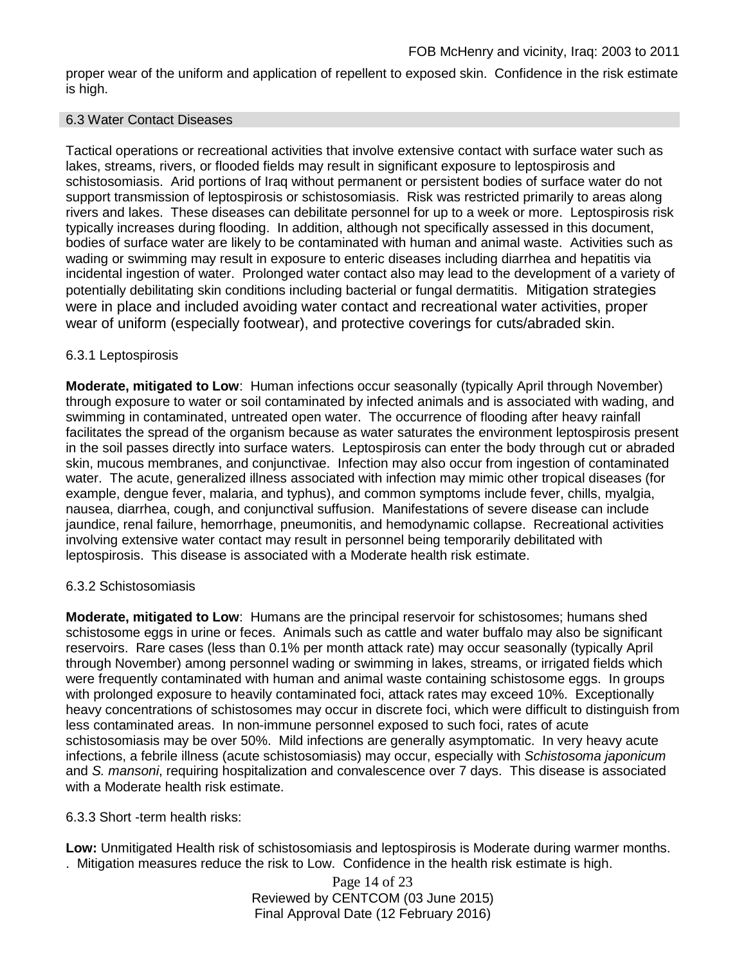proper wear of the uniform and application of repellent to exposed skin. Confidence in the risk estimate is high.

### 6.3 Water Contact Diseases

Tactical operations or recreational activities that involve extensive contact with surface water such as lakes, streams, rivers, or flooded fields may result in significant exposure to leptospirosis and schistosomiasis. Arid portions of Iraq without permanent or persistent bodies of surface water do not support transmission of leptospirosis or schistosomiasis. Risk was restricted primarily to areas along rivers and lakes. These diseases can debilitate personnel for up to a week or more. Leptospirosis risk typically increases during flooding. In addition, although not specifically assessed in this document, bodies of surface water are likely to be contaminated with human and animal waste. Activities such as wading or swimming may result in exposure to enteric diseases including diarrhea and hepatitis via incidental ingestion of water. Prolonged water contact also may lead to the development of a variety of potentially debilitating skin conditions including bacterial or fungal dermatitis. Mitigation strategies were in place and included avoiding water contact and recreational water activities, proper wear of uniform (especially footwear), and protective coverings for cuts/abraded skin.

## 6.3.1 Leptospirosis

**Moderate, mitigated to Low**: Human infections occur seasonally (typically April through November) through exposure to water or soil contaminated by infected animals and is associated with wading, and swimming in contaminated, untreated open water. The occurrence of flooding after heavy rainfall facilitates the spread of the organism because as water saturates the environment leptospirosis present in the soil passes directly into surface waters. Leptospirosis can enter the body through cut or abraded skin, mucous membranes, and conjunctivae. Infection may also occur from ingestion of contaminated water. The acute, generalized illness associated with infection may mimic other tropical diseases (for example, dengue fever, malaria, and typhus), and common symptoms include fever, chills, myalgia, nausea, diarrhea, cough, and conjunctival suffusion. Manifestations of severe disease can include jaundice, renal failure, hemorrhage, pneumonitis, and hemodynamic collapse. Recreational activities involving extensive water contact may result in personnel being temporarily debilitated with leptospirosis. This disease is associated with a Moderate health risk estimate.

## 6.3.2 Schistosomiasis

**Moderate, mitigated to Low**: Humans are the principal reservoir for schistosomes; humans shed schistosome eggs in urine or feces. Animals such as cattle and water buffalo may also be significant reservoirs. Rare cases (less than 0.1% per month attack rate) may occur seasonally (typically April through November) among personnel wading or swimming in lakes, streams, or irrigated fields which were frequently contaminated with human and animal waste containing schistosome eggs. In groups with prolonged exposure to heavily contaminated foci, attack rates may exceed 10%. Exceptionally heavy concentrations of schistosomes may occur in discrete foci, which were difficult to distinguish from less contaminated areas. In non-immune personnel exposed to such foci, rates of acute schistosomiasis may be over 50%. Mild infections are generally asymptomatic. In very heavy acute infections, a febrile illness (acute schistosomiasis) may occur, especially with *Schistosoma japonicum*  and *S. mansoni*, requiring hospitalization and convalescence over 7 days. This disease is associated with a Moderate health risk estimate.

## 6.3.3 Short -term health risks:

**Low:** Unmitigated Health risk of schistosomiasis and leptospirosis is Moderate during warmer months. . Mitigation measures reduce the risk to Low. Confidence in the health risk estimate is high.

> Page 14 of 23 Reviewed by CENTCOM (03 June 2015) Final Approval Date (12 February 2016)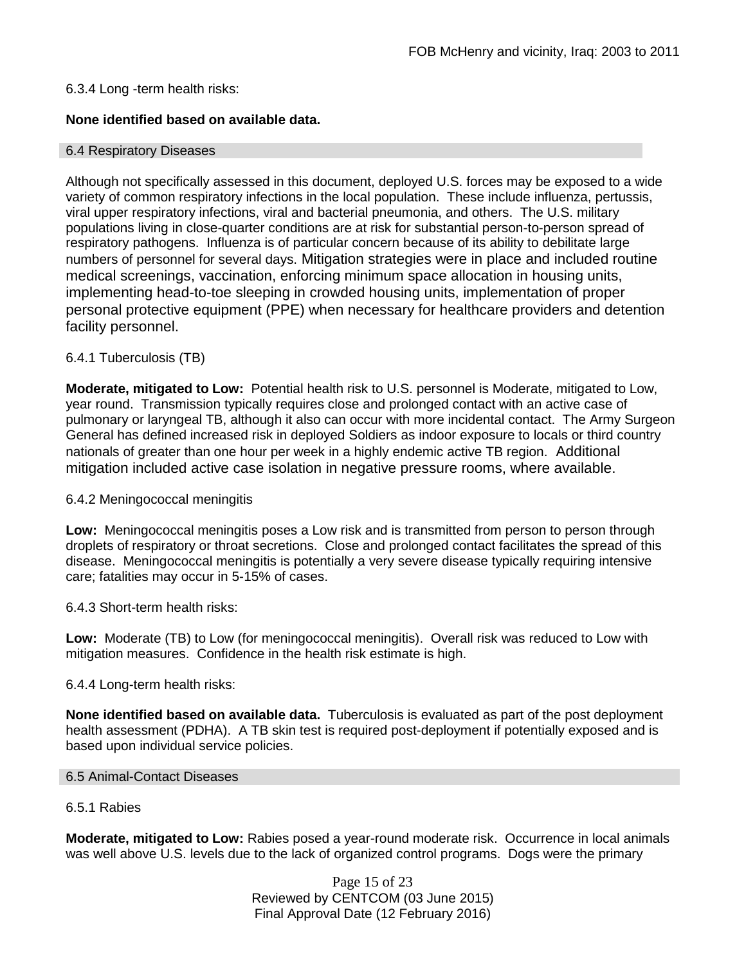### 6.3.4 Long -term health risks:

## **None identified based on available data.**

#### 6.4 Respiratory Diseases

Although not specifically assessed in this document, deployed U.S. forces may be exposed to a wide variety of common respiratory infections in the local population. These include influenza, pertussis, viral upper respiratory infections, viral and bacterial pneumonia, and others. The U.S. military populations living in close-quarter conditions are at risk for substantial person-to-person spread of respiratory pathogens. Influenza is of particular concern because of its ability to debilitate large numbers of personnel for several days. Mitigation strategies were in place and included routine medical screenings, vaccination, enforcing minimum space allocation in housing units, implementing head-to-toe sleeping in crowded housing units, implementation of proper personal protective equipment (PPE) when necessary for healthcare providers and detention facility personnel.

### 6.4.1 Tuberculosis (TB)

**Moderate, mitigated to Low:** Potential health risk to U.S. personnel is Moderate, mitigated to Low, year round. Transmission typically requires close and prolonged contact with an active case of pulmonary or laryngeal TB, although it also can occur with more incidental contact. The Army Surgeon General has defined increased risk in deployed Soldiers as indoor exposure to locals or third country nationals of greater than one hour per week in a highly endemic active TB region. Additional mitigation included active case isolation in negative pressure rooms, where available.

### 6.4.2 Meningococcal meningitis

**Low:** Meningococcal meningitis poses a Low risk and is transmitted from person to person through droplets of respiratory or throat secretions. Close and prolonged contact facilitates the spread of this disease. Meningococcal meningitis is potentially a very severe disease typically requiring intensive care; fatalities may occur in 5-15% of cases.

6.4.3 Short-term health risks:

**Low:** Moderate (TB) to Low (for meningococcal meningitis). Overall risk was reduced to Low with mitigation measures. Confidence in the health risk estimate is high.

### 6.4.4 Long-term health risks:

**None identified based on available data.** Tuberculosis is evaluated as part of the post deployment health assessment (PDHA). A TB skin test is required post-deployment if potentially exposed and is based upon individual service policies.

### 6.5 Animal-Contact Diseases

### 6.5.1 Rabies

**Moderate, mitigated to Low:** Rabies posed a year-round moderate risk. Occurrence in local animals was well above U.S. levels due to the lack of organized control programs. Dogs were the primary

> Page 15 of 23 Reviewed by CENTCOM (03 June 2015) Final Approval Date (12 February 2016)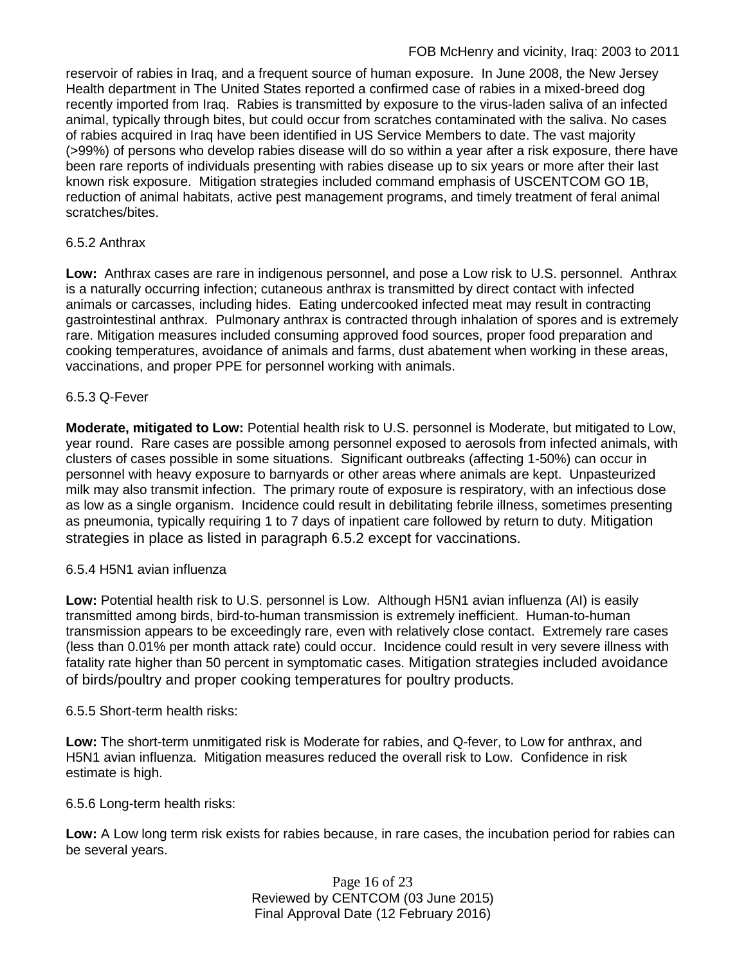reservoir of rabies in Iraq, and a frequent source of human exposure. In June 2008, the New Jersey Health department in The United States reported a confirmed case of rabies in a mixed-breed dog recently imported from Iraq. Rabies is transmitted by exposure to the virus-laden saliva of an infected animal, typically through bites, but could occur from scratches contaminated with the saliva. No cases of rabies acquired in Iraq have been identified in US Service Members to date. The vast majority (>99%) of persons who develop rabies disease will do so within a year after a risk exposure, there have been rare reports of individuals presenting with rabies disease up to six years or more after their last known risk exposure. Mitigation strategies included command emphasis of USCENTCOM GO 1B, reduction of animal habitats, active pest management programs, and timely treatment of feral animal scratches/bites.

## 6.5.2 Anthrax

**Low:** Anthrax cases are rare in indigenous personnel, and pose a Low risk to U.S. personnel. Anthrax is a naturally occurring infection; cutaneous anthrax is transmitted by direct contact with infected animals or carcasses, including hides. Eating undercooked infected meat may result in contracting gastrointestinal anthrax. Pulmonary anthrax is contracted through inhalation of spores and is extremely rare. Mitigation measures included consuming approved food sources, proper food preparation and cooking temperatures, avoidance of animals and farms, dust abatement when working in these areas, vaccinations, and proper PPE for personnel working with animals.

## 6.5.3 Q-Fever

**Moderate, mitigated to Low:** Potential health risk to U.S. personnel is Moderate, but mitigated to Low, year round. Rare cases are possible among personnel exposed to aerosols from infected animals, with clusters of cases possible in some situations. Significant outbreaks (affecting 1-50%) can occur in personnel with heavy exposure to barnyards or other areas where animals are kept. Unpasteurized milk may also transmit infection. The primary route of exposure is respiratory, with an infectious dose as low as a single organism. Incidence could result in debilitating febrile illness, sometimes presenting as pneumonia, typically requiring 1 to 7 days of inpatient care followed by return to duty. Mitigation strategies in place as listed in paragraph 6.5.2 except for vaccinations.

# 6.5.4 H5N1 avian influenza

**Low:** Potential health risk to U.S. personnel is Low. Although H5N1 avian influenza (AI) is easily transmitted among birds, bird-to-human transmission is extremely inefficient. Human-to-human transmission appears to be exceedingly rare, even with relatively close contact. Extremely rare cases (less than 0.01% per month attack rate) could occur. Incidence could result in very severe illness with fatality rate higher than 50 percent in symptomatic cases. Mitigation strategies included avoidance of birds/poultry and proper cooking temperatures for poultry products.

## 6.5.5 Short-term health risks:

**Low:** The short-term unmitigated risk is Moderate for rabies, and Q-fever, to Low for anthrax, and H5N1 avian influenza. Mitigation measures reduced the overall risk to Low.Confidence in risk estimate is high.

## 6.5.6 Long-term health risks:

**Low:** A Low long term risk exists for rabies because, in rare cases, the incubation period for rabies can be several years.

> Page 16 of 23 Reviewed by CENTCOM (03 June 2015) Final Approval Date (12 February 2016)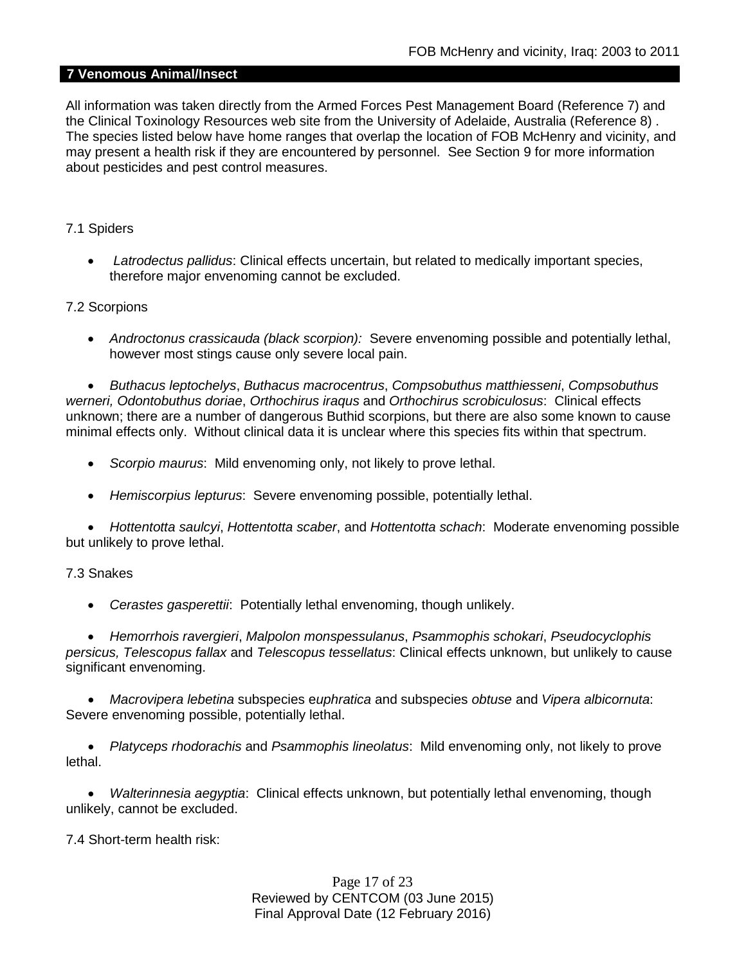### **7 Venomous Animal/Insect**

All information was taken directly from the Armed Forces Pest Management Board (Reference 7) and the Clinical Toxinology Resources web site from the University of Adelaide, Australia (Reference 8) . The species listed below have home ranges that overlap the location of FOB McHenry and vicinity, and may present a health risk if they are encountered by personnel. See Section 9 for more information about pesticides and pest control measures.

### 7.1 Spiders

• *Latrodectus pallidus*: Clinical effects uncertain, but related to medically important species, therefore major envenoming cannot be excluded.

### 7.2 Scorpions

• *Androctonus crassicauda (black scorpion):* Severe envenoming possible and potentially lethal, however most stings cause only severe local pain.

• *Buthacus leptochelys*, *Buthacus macrocentrus*, *Compsobuthus matthiesseni*, *Compsobuthus werneri, Odontobuthus doriae*, *Orthochirus iraqus* and *Orthochirus scrobiculosus*: Clinical effects unknown; there are a number of dangerous Buthid scorpions, but there are also some known to cause minimal effects only. Without clinical data it is unclear where this species fits within that spectrum.

- *Scorpio maurus*: Mild envenoming only, not likely to prove lethal.
- *Hemiscorpius lepturus*: Severe envenoming possible, potentially lethal.

• *Hottentotta saulcyi*, *Hottentotta scaber*, and *Hottentotta schach*: Moderate envenoming possible but unlikely to prove lethal.

### 7.3 Snakes

• *Cerastes gasperettii*: Potentially lethal envenoming, though unlikely.

• *Hemorrhois ravergieri*, *Malpolon monspessulanus*, *Psammophis schokari*, *Pseudocyclophis persicus, Telescopus fallax* and *Telescopus tessellatus*: Clinical effects unknown, but unlikely to cause significant envenoming.

• *Macrovipera lebetina* subspecies e*uphratica* and subspecies *obtuse* and *Vipera albicornuta*: Severe envenoming possible, potentially lethal.

• *Platyceps rhodorachis* and *Psammophis lineolatus*: Mild envenoming only, not likely to prove lethal.

• *Walterinnesia aegyptia*: Clinical effects unknown, but potentially lethal envenoming, though unlikely, cannot be excluded.

7.4 Short-term health risk:

Page 17 of 23 Reviewed by CENTCOM (03 June 2015) Final Approval Date (12 February 2016)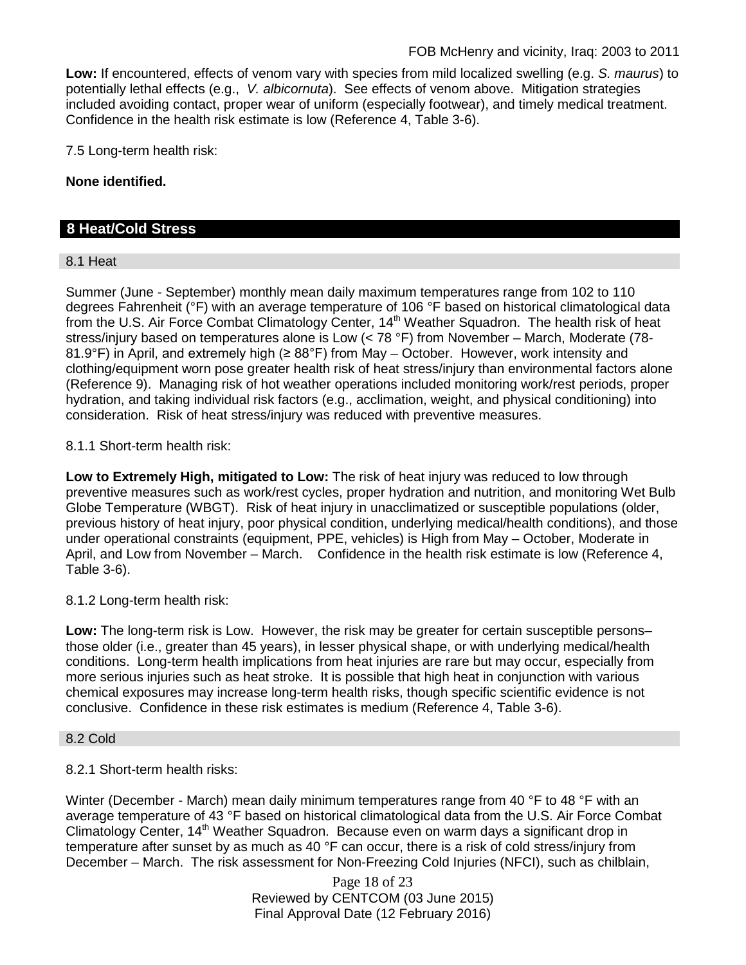**Low:** If encountered, effects of venom vary with species from mild localized swelling (e.g. *S. maurus*) to potentially lethal effects (e.g., *V. albicornuta*). See effects of venom above. Mitigation strategies included avoiding contact, proper wear of uniform (especially footwear), and timely medical treatment. Confidence in the health risk estimate is low (Reference 4, Table 3-6).

7.5 Long-term health risk:

**None identified.**

## **8 Heat/Cold Stress**

### 8.1 Heat

Summer (June - September) monthly mean daily maximum temperatures range from 102 to 110 degrees Fahrenheit (°F) with an average temperature of 106 °F based on historical climatological data from the U.S. Air Force Combat Climatology Center, 14<sup>th</sup> Weather Squadron. The health risk of heat stress/injury based on temperatures alone is Low (< 78 °F) from November – March, Moderate (78- 81.9°F) in April, and extremely high (≥ 88°F) from May – October. However, work intensity and clothing/equipment worn pose greater health risk of heat stress/injury than environmental factors alone (Reference 9). Managing risk of hot weather operations included monitoring work/rest periods, proper hydration, and taking individual risk factors (e.g., acclimation, weight, and physical conditioning) into consideration. Risk of heat stress/injury was reduced with preventive measures.

### 8.1.1 Short-term health risk:

**Low to Extremely High, mitigated to Low:** The risk of heat injury was reduced to low through preventive measures such as work/rest cycles, proper hydration and nutrition, and monitoring Wet Bulb Globe Temperature (WBGT). Risk of heat injury in unacclimatized or susceptible populations (older, previous history of heat injury, poor physical condition, underlying medical/health conditions), and those under operational constraints (equipment, PPE, vehicles) is High from May – October, Moderate in April, and Low from November – March. Confidence in the health risk estimate is low (Reference 4, Table 3-6).

### 8.1.2 Long-term health risk:

**Low:** The long-term risk is Low. However, the risk may be greater for certain susceptible persons– those older (i.e., greater than 45 years), in lesser physical shape, or with underlying medical/health conditions. Long-term health implications from heat injuries are rare but may occur, especially from more serious injuries such as heat stroke. It is possible that high heat in conjunction with various chemical exposures may increase long-term health risks, though specific scientific evidence is not conclusive. Confidence in these risk estimates is medium (Reference 4, Table 3-6).

### 8.2 Cold

## 8.2.1 Short-term health risks:

Winter (December - March) mean daily minimum temperatures range from 40 °F to 48 °F with an average temperature of 43 °F based on historical climatological data from the U.S. Air Force Combat Climatology Center, 14<sup>th</sup> Weather Squadron. Because even on warm days a significant drop in temperature after sunset by as much as 40 °F can occur, there is a risk of cold stress/injury from December – March. The risk assessment for Non-Freezing Cold Injuries (NFCI), such as chilblain,

> Page 18 of 23 Reviewed by CENTCOM (03 June 2015) Final Approval Date (12 February 2016)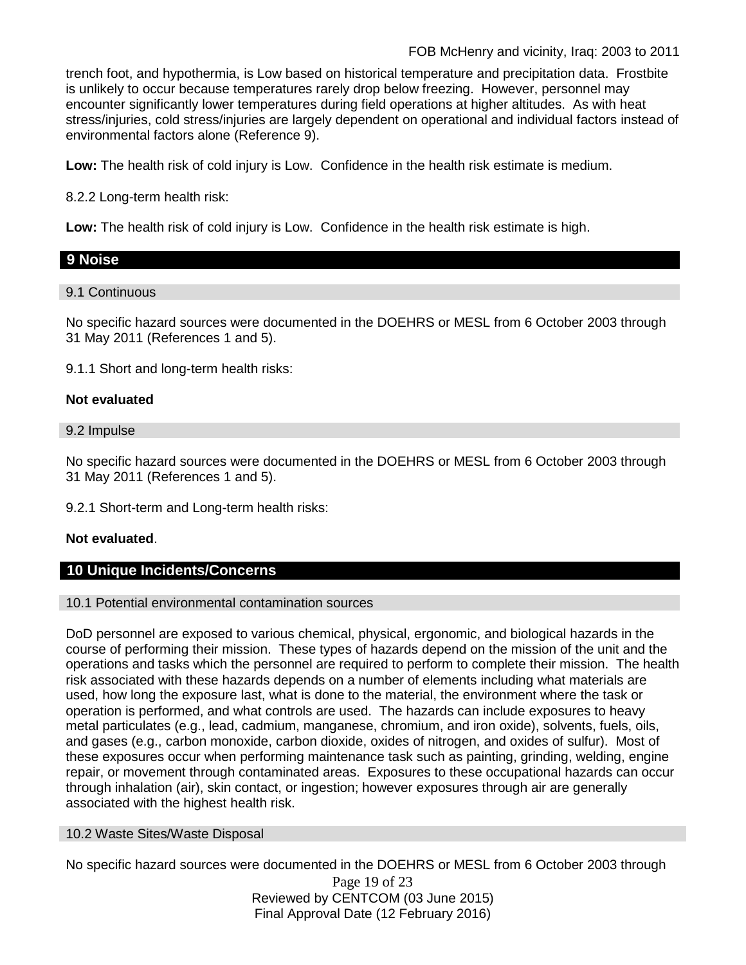trench foot, and hypothermia, is Low based on historical temperature and precipitation data. Frostbite is unlikely to occur because temperatures rarely drop below freezing. However, personnel may encounter significantly lower temperatures during field operations at higher altitudes. As with heat stress/injuries, cold stress/injuries are largely dependent on operational and individual factors instead of environmental factors alone (Reference 9).

**Low:** The health risk of cold injury is Low. Confidence in the health risk estimate is medium.

8.2.2 Long-term health risk:

**Low:** The health risk of cold injury is Low. Confidence in the health risk estimate is high.

# **9 Noise**

# 9.1 Continuous

No specific hazard sources were documented in the DOEHRS or MESL from 6 October 2003 through 31 May 2011 (References 1 and 5).

9.1.1 Short and long-term health risks:

# **Not evaluated**

## 9.2 Impulse

No specific hazard sources were documented in the DOEHRS or MESL from 6 October 2003 through 31 May 2011 (References 1 and 5).

9.2.1 Short-term and Long-term health risks:

# **Not evaluated**.

# **10 Unique Incidents/Concerns**

## 10.1 Potential environmental contamination sources

DoD personnel are exposed to various chemical, physical, ergonomic, and biological hazards in the course of performing their mission. These types of hazards depend on the mission of the unit and the operations and tasks which the personnel are required to perform to complete their mission. The health risk associated with these hazards depends on a number of elements including what materials are used, how long the exposure last, what is done to the material, the environment where the task or operation is performed, and what controls are used. The hazards can include exposures to heavy metal particulates (e.g., lead, cadmium, manganese, chromium, and iron oxide), solvents, fuels, oils, and gases (e.g., carbon monoxide, carbon dioxide, oxides of nitrogen, and oxides of sulfur). Most of these exposures occur when performing maintenance task such as painting, grinding, welding, engine repair, or movement through contaminated areas. Exposures to these occupational hazards can occur through inhalation (air), skin contact, or ingestion; however exposures through air are generally associated with the highest health risk.

## 10.2 Waste Sites/Waste Disposal

Page 19 of 23 Reviewed by CENTCOM (03 June 2015) Final Approval Date (12 February 2016) No specific hazard sources were documented in the DOEHRS or MESL from 6 October 2003 through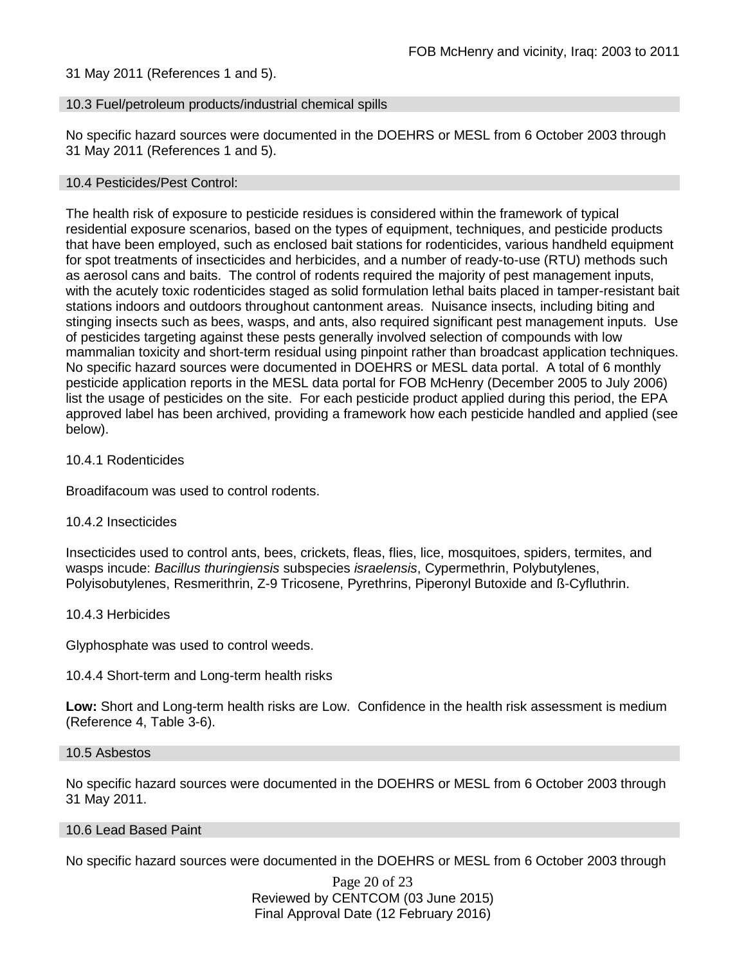31 May 2011 (References 1 and 5).

#### 10.3 Fuel/petroleum products/industrial chemical spills

No specific hazard sources were documented in the DOEHRS or MESL from 6 October 2003 through 31 May 2011 (References 1 and 5).

#### 10.4 Pesticides/Pest Control:

The health risk of exposure to pesticide residues is considered within the framework of typical residential exposure scenarios, based on the types of equipment, techniques, and pesticide products that have been employed, such as enclosed bait stations for rodenticides, various handheld equipment for spot treatments of insecticides and herbicides, and a number of ready-to-use (RTU) methods such as aerosol cans and baits. The control of rodents required the majority of pest management inputs, with the acutely toxic rodenticides staged as solid formulation lethal baits placed in tamper-resistant bait stations indoors and outdoors throughout cantonment areas. Nuisance insects, including biting and stinging insects such as bees, wasps, and ants, also required significant pest management inputs. Use of pesticides targeting against these pests generally involved selection of compounds with low mammalian toxicity and short-term residual using pinpoint rather than broadcast application techniques. No specific hazard sources were documented in DOEHRS or MESL data portal. A total of 6 monthly pesticide application reports in the MESL data portal for FOB McHenry (December 2005 to July 2006) list the usage of pesticides on the site. For each pesticide product applied during this period, the EPA approved label has been archived, providing a framework how each pesticide handled and applied (see below).

#### 10.4.1 Rodenticides

Broadifacoum was used to control rodents.

#### 10.4.2 Insecticides

Insecticides used to control ants, bees, crickets, fleas, flies, lice, mosquitoes, spiders, termites, and wasps incude: *Bacillus thuringiensis* subspecies *israelensis*, Cypermethrin, Polybutylenes, Polyisobutylenes, Resmerithrin, Z-9 Tricosene, Pyrethrins, Piperonyl Butoxide and ß-Cyfluthrin.

#### 10.4.3 Herbicides

Glyphosphate was used to control weeds.

### 10.4.4 Short-term and Long-term health risks

**Low:** Short and Long-term health risks are Low. Confidence in the health risk assessment is medium (Reference 4, Table 3-6).

#### 10.5 Asbestos

No specific hazard sources were documented in the DOEHRS or MESL from 6 October 2003 through 31 May 2011.

#### 10.6 Lead Based Paint

No specific hazard sources were documented in the DOEHRS or MESL from 6 October 2003 through

Page 20 of 23 Reviewed by CENTCOM (03 June 2015) Final Approval Date (12 February 2016)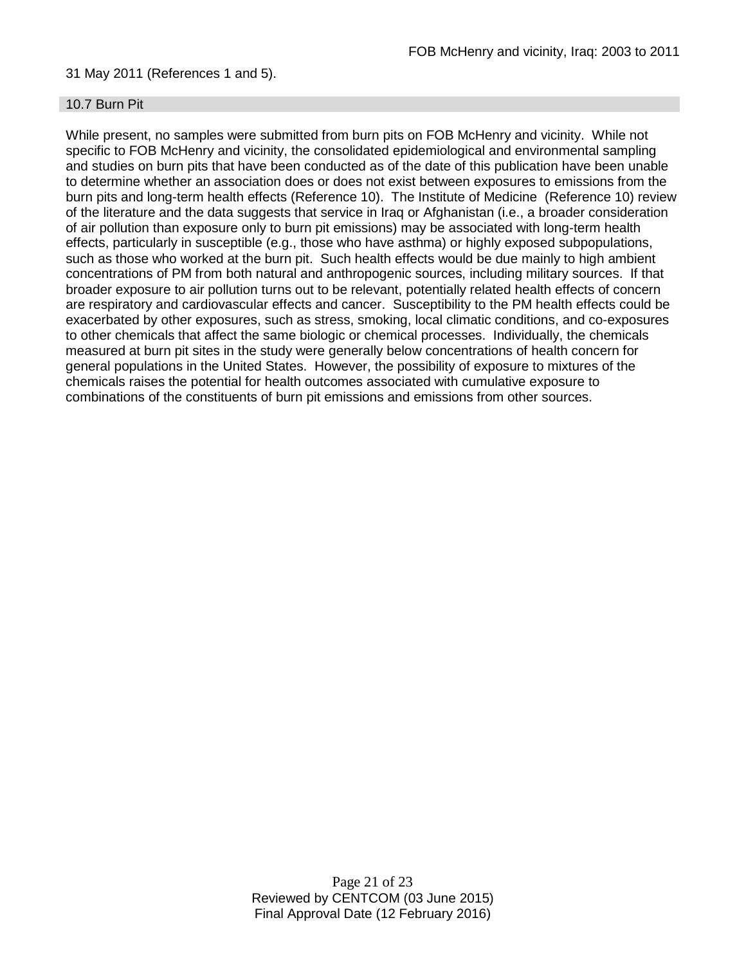### 31 May 2011 (References 1 and 5).

### 10.7 Burn Pit

While present, no samples were submitted from burn pits on FOB McHenry and vicinity. While not specific to FOB McHenry and vicinity, the consolidated epidemiological and environmental sampling and studies on burn pits that have been conducted as of the date of this publication have been unable to determine whether an association does or does not exist between exposures to emissions from the burn pits and long-term health effects (Reference 10). The Institute of Medicine (Reference 10) review of the literature and the data suggests that service in Iraq or Afghanistan (i.e., a broader consideration of air pollution than exposure only to burn pit emissions) may be associated with long-term health effects, particularly in susceptible (e.g., those who have asthma) or highly exposed subpopulations, such as those who worked at the burn pit. Such health effects would be due mainly to high ambient concentrations of PM from both natural and anthropogenic sources, including military sources. If that broader exposure to air pollution turns out to be relevant, potentially related health effects of concern are respiratory and cardiovascular effects and cancer. Susceptibility to the PM health effects could be exacerbated by other exposures, such as stress, smoking, local climatic conditions, and co-exposures to other chemicals that affect the same biologic or chemical processes. Individually, the chemicals measured at burn pit sites in the study were generally below concentrations of health concern for general populations in the United States. However, the possibility of exposure to mixtures of the chemicals raises the potential for health outcomes associated with cumulative exposure to combinations of the constituents of burn pit emissions and emissions from other sources.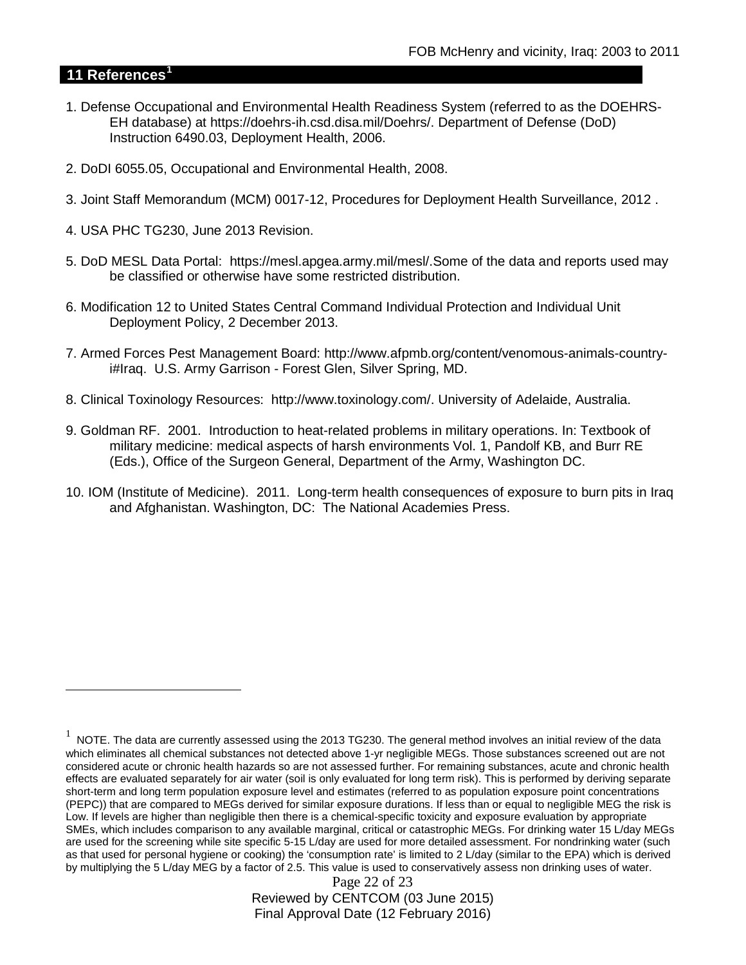## **11 References[1](#page-21-0)**

 $\overline{a}$ 

- 1. Defense Occupational and Environmental Health Readiness System (referred to as the DOEHRS-EH database) at https://doehrs-ih.csd.disa.mil/Doehrs/. Department of Defense (DoD) Instruction 6490.03, Deployment Health, 2006.
- 2. DoDI 6055.05, Occupational and Environmental Health, 2008.
- 3. Joint Staff Memorandum (MCM) 0017-12, Procedures for Deployment Health Surveillance, 2012 .
- 4. USA PHC TG230, June 2013 Revision.
- 5. DoD MESL Data Portal: https://mesl.apgea.army.mil/mesl/.Some of the data and reports used may be classified or otherwise have some restricted distribution.
- 6. Modification 12 to United States Central Command Individual Protection and Individual Unit Deployment Policy, 2 December 2013.
- 7. Armed Forces Pest Management Board: http://www.afpmb.org/content/venomous-animals-countryi#Iraq. U.S. Army Garrison - Forest Glen, Silver Spring, MD.
- 8. Clinical Toxinology Resources: http://www.toxinology.com/. University of Adelaide, Australia.
- 9. Goldman RF. 2001. Introduction to heat-related problems in military operations. In: Textbook of military medicine: medical aspects of harsh environments Vol. 1, Pandolf KB, and Burr RE (Eds.), Office of the Surgeon General, Department of the Army, Washington DC.
- 10. IOM (Institute of Medicine). 2011. Long-term health consequences of exposure to burn pits in Iraq and Afghanistan. Washington, DC: The National Academies Press.

Page 22 of 23 Reviewed by CENTCOM (03 June 2015) Final Approval Date (12 February 2016)

<span id="page-21-0"></span> $1$  NOTE. The data are currently assessed using the 2013 TG230. The general method involves an initial review of the data which eliminates all chemical substances not detected above 1-yr negligible MEGs. Those substances screened out are not considered acute or chronic health hazards so are not assessed further. For remaining substances, acute and chronic health effects are evaluated separately for air water (soil is only evaluated for long term risk). This is performed by deriving separate short-term and long term population exposure level and estimates (referred to as population exposure point concentrations (PEPC)) that are compared to MEGs derived for similar exposure durations. If less than or equal to negligible MEG the risk is Low. If levels are higher than negligible then there is a chemical-specific toxicity and exposure evaluation by appropriate SMEs, which includes comparison to any available marginal, critical or catastrophic MEGs. For drinking water 15 L/day MEGs are used for the screening while site specific 5-15 L/day are used for more detailed assessment. For nondrinking water (such as that used for personal hygiene or cooking) the 'consumption rate' is limited to 2 L/day (similar to the EPA) which is derived by multiplying the 5 L/day MEG by a factor of 2.5. This value is used to conservatively assess non drinking uses of water.